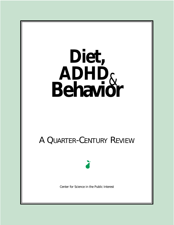# **Diet, ADHD**& **Behavior** A QUARTER-CENTURY REVIEW Center for Science in the Public Interest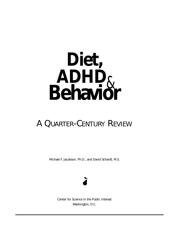# **Diet, ADHD**& **Behavior**

# A QUARTER-CENTURY REVIEW

Michael F. Jacobson, Ph.D., and David Schardt, M.S.



Center for Science in the Public Interest Washington, D.C.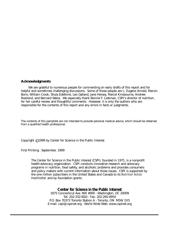#### **Acknowledgments**

We are grateful to numerous people for commenting on early drafts of this report and for helpful and sometimes challenging discussions. Some of those people are L. Eugene Arnold, Marvin Boris, William Crook, Shula Edelkind, Leo Galland, Jane Hersey, Marcel Kinsbourne, Andrew Rowland, and Bernard Weiss. We especially thank Bonnie F. Liebman, CSPI's director of nutrition, for her careful review and thoughtful comments. However, it is only the authors who are responsible for the contents of this report and any errors in facts or judgments.

The contents of this pamphlet are not intended to provide personal medical advice, which should be obtained from a qualified health professional.

Copyright © 1999 by Center for Science in the Public Interest

First Printing: September, 1999

The Center for Science in the Public Interest (CSPI), founded in 1971, is a nonprofit health-advocacy organization. CSPI conducts innovative research and advocacy programs in nutrition, food safety, and alcoholic problems and provides consumers and policy makers with current information about those issues. CSPI is supported by the one million subscribers in the United States and Canada to its *Nutrition Action Healthletter* and by foundation grants.

#### **Center for Science in the Public Interest**

1875 Connecticut Ave. NW #300 - Washington, DC 20009 Tel: 202-332-9110 - Fax: 202-265-4954 P.O. Box 70373 Toronto Station A - Toronto, ON M5W 2X5 E-mail: cspi@cspinet.org - World Wide Web: www.cspinet.org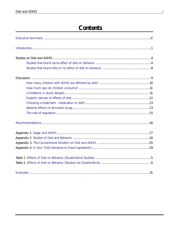# **Contents**

<span id="page-3-0"></span>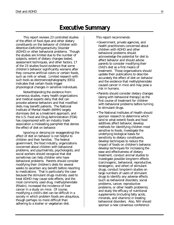# **Executive Summary**

<span id="page-5-0"></span>This report reviews 23 controlled studies of the effect of food dyes and other dietary constituents on the behavior of children with Attention-Deficit/Hyperactivity Disorder (ADHD) or other behavioral problems. Though the studies are limited due to the number of subjects, extent of dietary changes tested, assessment techniques, and other factors, 17 of the 23 studies found evidence that some children's behavior significantly worsens after they consume artificial colors or certain foods, such as milk or wheat. Limited research with such tools as electroencephalography (EEG) indicates that certain foods trigger physiological changes in sensitive individuals.

Notwithstanding the evidence from numerous studies, many health organizations and medical experts deny that diet can provoke adverse behaviors and that modified diets may benefit patients. The National Institute of Mental Health (NIMH) largely dismisses diet as a treatment approach, and the U.S. Food and Drug Administration (FDA) has cosponsored with an industry trade association a misleading pamphlet that denies the effect of diet on behavior.

Ignoring or denying (or exaggerating) the effect of diet on behavior is not helpful to children and their families. The federal government, the food industry, organizations concerned about children with behavioral problems, and psychiatrists, psychologists, and social workers should recognize that diet sometimes can help children who have behavioral problems. Parents should consider modifying their children's diets for several weeks to ascertain any benefit before resorting to medications. That is particularly the case because the stimulant drugs routinely used to treat ADHD may cause side effects, and the most commonly used drug, methylphenidate (Ritalin), increased the incidence of liver cancer in a study on mice. Of course, modifying a child's diet can be difficult in a society in which problem foods are ubiquitous, though perhaps no more difficult than adhering to a kosher or vegetarian diet.

This report recommends:

- •Government, private agencies, and health practitioners concerned about children with ADHD and other behavioral problems should acknowledge the potential for diet to affect behavior and should advise parents to consider modifying their child's diet as a first means of treatment. Those organizations should update their publications to describe accurately the effect of diet on behavior and the evidence that methylphenidate caused cancer in mice and may pose a risk in humans.
- •Parents should consider dietary changes (along with behavioral therapy) as the first course of treatment for children with behavioral problems before turning to stimulant drugs.
- •The National Institutes of Health should sponsor research to determine which (and to what extent) foods and food additives affect behavior, develop methods for identifying children most sensitive to foods, investigate the underlying biological bases for sensitivity to dietary constituents, develop techniques to reduce the impact of foods on children's behavior, develop techniques for increasing the ease and effectiveness of dietary treatment, conduct animal studies to investigate possible long-term effects (carcinogenic, behavioral, reproductive, teratogenic, and other) of stimulant drugs, conduct long-term studies on large numbers of users of stimulant drugs to identify any adverse effects (such as behavioral disorders, social problems, cancer, reproductive problems, or other health problems), and study the efficacy of nutritional supplements (including fatty acids, minerals, and vitamins) in treating behavioral disorders. Also, NIH should sponsor a new consensus conference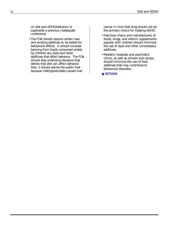on diet and ADHD/behavior to supersede a previous inadequate conference.

•The FDA should require certain new and existing additives to be tested for behavioral effects. It should consider banning from foods consumed widely by children any dyes and other additives that affect behavior. The FDA should stop endorsing literature that denies that diet can affect behavior. Also, it should advise the public that because methylphenidate caused liver

cancer in mice that drug should not be the primary choice for treating ADHD.

- •Fast-food chains and manufacturers of foods, drugs, and vitamin supplements popular with children should minimize the use of dyes and other unnecessary additives.
- •Pediatric hospitals and psychiatric clinics, as well as schools and camps, should minimize the use of food additives that may contribute to behavioral disorders.

● **[RETURN](#page-3-0)**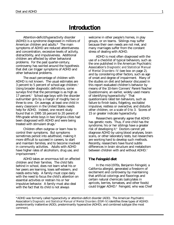# **Introduction**

<span id="page-7-0"></span>Attention-deficit/hyperactivity disorder (ADHD) is a syndrome diagnosed in millions of American children and adults.\* The main symptoms of ADHD are reduced attentiveness and concentration, excessive levels of activity, distractibility, and impulsiveness. Additional children are affected by other behavioral problems. For the past quarter-century, controversy has swirled around the hypothesis that diet can trigger symptoms of ADHD and other behavioral problems.

The exact percentage of children with ADHD is not known. The usual estimates are 3 percent to 5 percent of school-age children.1 Using broader diagnostic definitions, some surveys find that the percentage is as high as 17 percent.<sup>2</sup> School-age boys with the disorder outnumber girls by a margin of roughly two or three to one. On average, at least one child in every classroom in the United States needs help for ADHD. Indeed, one recent study found that in 1995 18 percent to 20 perent of fifth-grade white boys in two Virginia cities had been diagnosed with ADHD and were being treated with stimulant drugs.<sup>3</sup>

Children often outgrow or learn how to control their symptoms. But symptoms sometimes persist into adulthood, making it more difficult to succeed in careers, to start and maintain families, and to become involved in community activities. Adults with ADHD have higher rates of alcoholism, drug use, and imprisonment.4

ADHD takes an enormous toll on affected children and their families. The child falls behind in school, does not learn what his or her peers are learning, loses self-esteem, and needs extra help. A family must cope daily with the need to focus the child's attention on essential activities or restrain his or her impulsive behavior. A family must also deal with the fact that its child is not always

welcome in other people's homes, in play groups, or on teams. Siblings may suffer because their own needs are not met, and many marriages suffer from the constant stress of dealing with ADHD.

ADHD is most often diagnosed with the use of a checklist of typical behaviors, such as the one published in the American Psychiatric Association's *Diagnostic and Statistical Manual of Mental Disorders–IV* (see box on page 2), and by considering other factors, such as age of onset and degree of impairment. Many of the studies on diet and behavior discussed in this report evaluated children's behavior by means of the 10-item Conners' Parent-Teacher Questionnaire, an earlier, widely used means of identifying hyperactivity.5 That questionnaire rated ten behaviors, such as failure to finish tasks, fidgeting, excitable/ impulsive, restless or overactive, and disturbs other children, on a scale of 0 to 3. Scores of 15 or greater indicate hyperactivity.

Researchers generally agree that ADHD has genetic roots. Thus, if one child has the syndrome, his or her siblings have a greater risk of developing it.<sup>6</sup> Doctors cannot yet diagnose ADHD by using blood analyses, brain scans, or other laboratory tests, but researchers are working hard to develop such methods. Recently, researchers have found subtle differences in brain structure and metabolism between children with and without ADHD.<sup>7</sup>

#### **The Feingold diet**

In the mid-1970s, Benjamin Feingold, a California allergist, generated a firestorm of excitement and controversy by maintaining that artificial colorings and flavorings and certain natural chemicals (salicylates in apricots, berries, tomatoes, and other foods) could trigger ADHD.8 Feingold, who was Chief

<sup>\*</sup>ADHD was formerly called hyperactivity or attention-deficit disorder (ADD). The American Psychiatric Association's *Diagnostic and Statistical Manual of Mental Disorders* (*DSM-IV*) identifies three types of AD/HD: predominantly inattentive (ADD), predominantly hyperactive (ADHD), and combined subtype (the most common).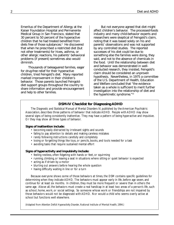Emeritus of the Department of Allergy at the Kaiser Foundation Hospital and Permanente Medical Group in San Francisco, stated that 30 percent to 50 percent of the hyperactive children that he had treated benefited from diets free of those substances.<sup>9</sup> He discovered that when he prescribed a restricted diet (but not other treatments) for hives, asthma, or other allergic reactions, his patients' behavioral problems (if present) sometimes also would diminish.

Thousands of beleaguered families, eager for drug-free relief for their hyperactive children, tried Feingold's diet. Many reported marked improvement in their children's behavior. Those parents launched Feingolddiet support groups throughout the country to share information and provide encouragement and help to other families.

But not everyone agreed that diet might affect children's behavior. The processed-foods industry and many child-behavior experts and researchers were skeptical of Feingold's claim, noting that it was based solely on his and parents' observations and was not supported by any controlled studies. The reported successes of his diet could be due to something else the families were doing, they said, and not to the absence of chemicals in the food. Until the relationship between diet and behavior was demonstrated in wellconducted research, they insisted, Feingold's claim should be considered an unproven hypothesis. Nevertheless, in 1975 a committee of the U.S. Department of Health, Education and Welfare concluded that "the evidence taken as a whole is sufficient to merit further investigation into the relationship of diet and the hyperkinetic syndrome."10

#### **DSM-IV Checklist for Diagnosing ADHD**

The *Diagnostic and Statistical Manual of Mental Disorders IV*, published by the American Psychiatric Association, describes three patterns of behavior that indicate ADHD. People with ADHD may show several signs of being consistently inattentive. They may have a pattern of being hyperactive and impulsive. Or they may show all three types of behavior.

#### **Signs of inattention include:**

- becoming easily distracted by irrelevant sights and sounds
- failing to pay attention to details and making careless mistakes
- rarely following instructions carefully and completely
- losing or forgetting things like toys, or pencils, books, and tools needed for a task
- avoiding tasks that require sustained mental effort

#### **Signs of hyperactivity and impulsivity include:**

- feeling restless, often fidgeting with hands or feet, or squirming
- running, climbing, or leaving a seat in situations where sitting or quiet behavior is expected
- acting as if driven by a motor
- blurting out answers before hearing the whole question
- having difficulty waiting in line or for a turn

Because everyone shows some of those behaviors at times, the DSM contains specific guidelines for determining when they indicate ADHD. The behaviors must appear early in life, before age seven, and continue for at least six months. In children, they must be more frequent or severe than in others the same age. Above all, the behaviors must create a real handicap in at least two areas of a person's life, such as school, home, work, or social settings. So someone whose work or friendships are not impaired by those behaviors would not be diagnosed with ADHD. Nor would a child who seems overly active at school but functions well elsewhere.

(Adapted from *Attention Deficit Hyperactivity Disorder*, National Institute of Mental Health, 1994.)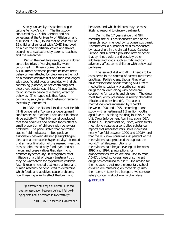Slowly, university researchers began testing Feingold's claim. The first study, conducted by C. Keith Conners and his colleagues at the University of Pittsburgh and published in 1976, found that at least four of 15 children diagnosed with ADHD improved on a diet free of artificial colors and flavors, according to evaluations by parents, teachers, and the researcher.<sup>11</sup>

Within the next five years, about a dozen controlled trials of varying quality were conducted. In those studies, children with ADHD (most of whose parents believed their behavior was affected by diet) were either put on a reduced-additive diet and then challenged with specific additives or provided with diets containing (placebo) or not containing (test diet) those substances. Most of those studies found some evidence of a dietary effect on behavior. (The hypothesis that foods containing salicylates affect behavior remains essentially untested.<sup>12</sup>)

In 1982, the National Institutes of Health (NIH) convened a "consensus development conference" on "Defined Diets and Childhood Hyperactivity."13 That NIH panel concluded that food additives and certain foods affect a small proportion of children with behavioral problems. The panel stated that controlled studies "did indicate a limited positive association between defined [Feingold-type] diets and a decrease in hyperactivity." It noted that a major limitation of the research was that most studies tested only food dyes and not flavors and preservatives that also might promote hyperactivity. It recognized "that initiation of a trial of dietary treatment . . . may be warranted" for hyperactive children. Also, it recommended that more animal and human research be conducted to determine which foods and additives cause problems, how those ingredients affect the brain and

*"[Controlled studies] did indicate a limited positive association between defined [Feingoldtype] diets and a decrease in hyperactivity."*

NIH 1982 Consensus Conference

behavior, and which children may be most likely to respond to dietary treatment.

During the 17 years since that NIH meeting, the NIH has sponsored little of the research recommended by its consensus panel. Nevertheless, a number of studies conducted by researchers in the United States, Canada, Europe, and Australia provided new evidence that synthetic colors and possibly other additives and foods, such as milk and corn, adversely affect some children with behavioral problems.

The issue of diet and ADHD needs to be considered in the context of current treatment practices. Pediatricians, though they often have reservations about treating ADHD with medications, typically prescribe stimulant drugs for children along with behavioral counseling for parents and children. The drug most frequently prescribed is methylphenidate (Ritalin and other brands). The use of methylphenidate increased by 2.5-fold between 1990 and 1995, according to one study, with an estimated 1.5 million youths aged five to 18 taking the drug in 1995.14 The U.S. Drug Enforcement Administration (DEA) of the U.S. Department of Justice, which treats methylphenidate as a controlled substance, reports that manufacturers' sales increased nearly five-fold between 1990 and 199815 and that the U.S. now consumes 90 percent of the methylphenidate produced throughout the world.16 While prescriptions for methylphenidate began leveling off between 1995 and 1997, prescriptions for amphetamines, which are also used to treat ADHD, tripled, so overall use of stimulant drugs has continued to rise.<sup>17</sup> One reason for the increase is that more elementary-school children are remaining on those drugs into their teens.18 Later in this report, we consider safety concerns about methylphenidate.

#### ● **[RETURN](#page-3-0)**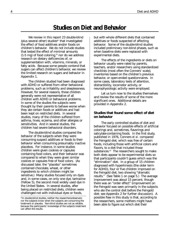# **Studies on Diet and Behavior**

<span id="page-10-0"></span>We review in this report 23 double-blind (plus several other) studies\* that investigated the effect of food additives and/or foods on children's behavior. We do not include studies that tested the effect of minimal amounts  $(1-5 \text{ mg})$  of food coloring,<sup>19</sup> nor do we address research on dietary deficiencies of, or supplementation with, vitamins, minerals, or fatty acids. Because some people contend that sugars can affect children's behavior, we review the limited research on sugars and behavior in Appendix 1.

The children studied had been diagnosed with ADHD or suffered from other behavioral problems, such as irritability and sleeplessness. However, for several reasons, those children generally were not representative of all children with ADHD or behavioral problems. In some of the studies the subjects were thought by their parents to behave worse when they ate certain foods or additives and had been kept on restricted diets. In several studies, many of the children suffered from asthma, hives, eczema, and other allergies or sensitivities. And in several studies, the children had severe behavioral disorders.

The double-blind studies compared the behavior of the subjects when they were consuming suspect additives or foods to their behavior when consuming presumably inactive placebos. For instance, in some studies children were given cookies or capsules containing food colors, and their behavior was compared to when they were given similar cookies or capsules free of food colors. (As discussed later, the "placebo" sometimes contained chocolate, wheat, or other ingredients to which children might be sensitive.) Many studies focused only on dyes and, in some cases, on only one dye, tartrazine (Yellow 5), the second most widely used dye in the United States. In several studies, after being placed on restricted diets, children were challenged not with individual dyes or foods,

but with whole different diets that contained additives or foods suspected of affecting behavior. Some of the double-blind studies included preliminary non-blind phases, such as when baseline diets were replaced with experimental diets.

The effects of the ingredients or diets on behavior usually were rated by parents, teachers, and/or researchers using standardized checklists (most often the Conners' scale), inventories based on the children's previous behavior, or open-ended questionnaires. In some cases, laboratory tests of attention, distractibility, locomotor activity, or neurophysiologic activity were employed.

Let us turn now to the studies themselves and review the results of some of the more significant ones. Additional details are provided in Appendix 2.

#### **Studies that found some effect of diet on behavior**

The early controlled studies of diet and behavior focused on possible effects of artificial colorings and, sometimes, flavorings and salicylate-containing foods. In the first study, published in 1976, Conners *et al*. compared the Feingold diet, which was free of certain foods, including those with artificial colors and flavors, to a diet that included those substances.<sup>20</sup> The researchers sought to make both diets appear to be experimental diets so that participants couldn't guess which was the "elimination" diet. In a group of 15 children diagnosed with hyperkinesis (the older term for ADHD), four or five children improved on the Feingold diet, two showing "dramatic results." (See Table 1 on page 5.) The average improvement was about 15 percent, though there was an "order effect" (improvement on the Feingold was seen primarily in the subjects who ate the control diet before the Feingold diet; see Appendix 2 for further discussion). A possible flaw in this study is that, according to the researchers, some mothers might have been able to figure out which diet their

<sup>\*</sup>In double-blind studies, neither the researchers/observers nor the subjects know when the subjects are consuming the treatment or placebo. Non-blind studies are not as reliable, because the participants' knowledge of the subjects treatment can affect the results.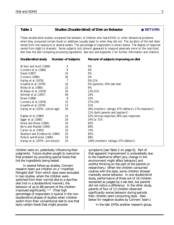#### <span id="page-11-0"></span>Table 1 Studies (Double-blind) of Diet on Behavior ● [RETURN](#page-3-0)

These double-blind studies compared the behavior of children who had ADHD or other behavioral problems when they consumed certain foods or additives (usually dyes) to when they did not. The duration of the test diets varied from one exposure to several weeks. The percentage of responders is shown below. The degree of response varied from slight to dramatic. Some subjects (not shown) appeared to respond adversely more to the restricted diet than the diet containing provoking ingredients. See text and Appendix 2 for further information and citations.

| Double-blind study              | <b>Number of Subjects</b> | Percent of subjects improving on diet                    |
|---------------------------------|---------------------------|----------------------------------------------------------|
| Wilson and Scott (1989)         | 4                         | 0%                                                       |
| Conners et al. (1980)           | 9                         | 0%                                                       |
| David (1987)                    | 24                        | 0%                                                       |
| <b>Conners (1980)</b>           | 30                        | 0%                                                       |
| Harley et al. (1978)            | 7                         | 0%-11%                                                   |
| Goyette et al. (1978)           | 16                        | 0% (parents), 19% (lab test)                             |
| Weiss et al. (1980)             | 22                        | 9%                                                       |
| Williams et al. (1978)          | 26                        | 13%-31%                                                  |
| Schmidt et al. (1997)           | 49                        | 24%                                                      |
| Rowe (1988)                     | 8                         | 25%                                                      |
| Conners et al. (1976)           | 15                        | 27%-33%                                                  |
| Goyette et al. (1978)           | 13                        | 31%                                                      |
| Harley et al. (1978—school-age) | 36                        | 36% (mothers' ratings); 47% (fathers'); 17% (teachers'); |
|                                 |                           | 11% (both parents and teachers')                         |
| Kaplan et al. (1989)            | 24                        | 42% (strong response); 58% (any response)                |
| Egger et al. (1985)             | 28                        | 54% to 71%                                               |
| Rowe and Rowe (1994)            | 34                        | 65%                                                      |
| Boris and Mandel (1994)         | 16                        | 69%                                                      |
| Carter et al. (1993)            | 19                        | 74%                                                      |
| Swanson and Kinsbourne (1980)   | 20                        | 85%                                                      |
| Pollock and Warner (1990)       | 19                        | 89%                                                      |
| Harley et al. (1978-pre-school) | 10                        | 100% (mothers' ratings); 57% (fathers')                  |

children were on, potentially influencing their judgments. Future studies sought to overcome that problem by providing special foods that hid the ingredients being tested.

In several follow-up studies, Conners' research team put children on a "modified Feingold diet" from which dyes were excluded. In two studies, when the children were switched from their normal diet to a dye-free diet (not in a double-blind manner), the behavior of up to 88 percent of the children improved significantly. 21,22 (That high percentage of responders is typical in the nondouble-blind phases of studies when children switch from their conventional diet to one that lacks certain foods that might provoke

symptoms [see Table 2 on page 6]. Part of that apparent improvement is undoubtedly due to the Hawthorne effect [any change in the environment might affect behavior] and wishful thinking on the part of the parents or researchers.) When the children consumed cookies with the dyes, some children showed markedly worse behavior. In one double-blind study, performance of three out of 16 children worsened as judged by a lab test, but parents did not notice a difference. In the other study, parents of four of 13 children observed significantly worse behavior during periods their children were consuming dyes. (See below for negative studies by Conners' team.)

In the late 1970s another research group,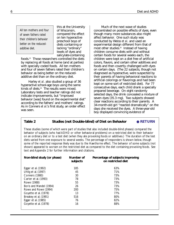<span id="page-12-0"></span>*All ten mothers and four of seven fathers rated their children's behavior better on the reducedadditive diet.*

this at the University of Wisconsin, compared the effect on ten hyperactive preschool boys of diets containing or lacking "ordinary" levels of dyes and salicylate-containing

foods.23 Those researchers controlled the diets by replacing all foods at home (and at parties) with specially coded foods. All ten mothers and four of seven fathers rated their children's behavior as being better on the reducedadditive diet than on the ordinary diet.

Harley *et al*. also studied a group of 36 hyperactive school-age boys using the same kinds of diets.<sup>24</sup> The results were mixed. Laboratory tests and teacher ratings did not indicate improvements, but "improved behavior [was] found on the experimental diet" according to the fathers' and mothers' ratings. As in Conners *et al*.'s first study, an order effect was seen.

Much of the next wave of studies concentrated on possible effects of dyes, even though many more substances also might affect behavior. One such study was conducted by Weiss *et al*. and used an experimental design different from that of most other studies.25 Instead of having children consume diets with and without certain foods for several weeks each, the children were kept on a diet free of artificial colors, flavors, and certain other additives and foods and then covertly challenged with dyes on certain days. (The 22 subjects, though not diagnosed as hyperactive, were suspected by their parents of having behavioral reactions to artificial colorings or flavorings and had been kept on some sort of restricted diet). For 77 consecutive days, each child drank a specially prepared beverage. On eight randomly selected days, the drink concealed a mixture of seven dyes (35.3 mg). Two subjects showed clear reactions according to their parents. A 34-month-old girl "reacted dramatically" on the days she received the dyes. A three-year-old boy displayed convincing evidence of

#### Table 2 Studies (not Double-blind) of Diet on Behavior ● **[RETURN](#page-3-0)**

These studies (some of which were part of studies that also included double-blind phases) compared the behavior of subjects (who had ADHD or other behavioral problems) on a restricted diet to their behavior on an ordinary diet or to a test diet (when they ate provoking foods or additives.) The duration of the test diets varied from one exposure to several weeks. The percentage of responders is shown below, though some of the reported response likely was due to the Hawthorne effect. The behavior of some subjects (not shown) appeared to worsen on the restricted diet as compared to the diet containing provoking foods. See text and Appendix 2 for further information and citations.

| Non-blind study (or phase) | Number of<br>subjects | Percentage of subjects improving<br>on restricted diet |
|----------------------------|-----------------------|--------------------------------------------------------|
| Egger et al. (1992)        | 185                   | 63%                                                    |
| Uhlig et al. (1997)        | 45                    | 71%                                                    |
| <b>Conners (1980)</b>      | 30                    | 73%                                                    |
| Carter et al. (1993)       | 78                    | 73%                                                    |
| Rowe (1988)                | 55                    | 73%                                                    |
| Boris and Mandel (1994)    | 26                    | 73%                                                    |
| Rowe and Rowe (1994)       | 200                   | 75%                                                    |
| Goyette et al. (1978)      | 13                    | 77%                                                    |
| Breakey et al. (1991)      | 516                   | 80%                                                    |
| Egger et al. (1985)        | 76                    | 82%                                                    |
| Goyette et al. (1978)      | 16                    | 88%                                                    |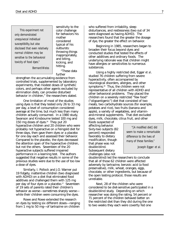*This experiment not only demonstrated unequivocal individual susceptibility, but also disclosed that even relatively normal children may be sensitive to the behavioral toxicity of food dyes."*

sensitivity to the color challenge for behaviors his mother considered typical of his outbursts: throwing things inappropriately, and biting, kicking, and hitting.

*Bernard Weiss*

"These data further

strengthen the accumulating evidence from controlled trials, supplemented by laboratory experiments, that modest doses of synthetic colors, and perhaps other agents excluded by elimination diets, can provoke disturbed behavior in children," the researchers stated.

One limitation of most of the studies using dyes is that they tested only 26 to 33 mg per day, a level of consumption considered average at the time, but much less than many children actually consumed. In a 1980 study, Swanson and Kinsbourne tested 100 mg and 150 mg doses of dyes.<sup>26</sup> They put 20 hyperactive children and 20 children who were probably not hyperactive on a Feingold diet for three days, then gave them dyes or a placebo for one day each and assessed their behavior. Compared to the placebo, the dyes decreased the attention span of the hyperactive children, but not the others. Seventeen of the 20 hyperactive subjects suffered impaired performance in a learning test. The authors suggested that negative results in some of the previous studies were due to the use of too low a dose of dyes.

Similarly, I. Pollock and J.O. Warner put 19 fidgety, inattentive children (two diagnosed with ADHD) on a diet that eliminated food additives and challenged them with 125 mg per day of four dyes or a placebo.<sup>27</sup> Seventeen of 19 sets of parents rated their children's behavior as worse—sometimes sharply worse while their children were consuming the dyes.

Rowe and Rowe extended the research on dyes by testing six different doses—ranging from 1 mg to 50 mg—of tartrazine on children

who suffered from irritability, sleep disturbances, and restlessness (two out of 34 were diagnosed as having ADHD). The researchers found that the greater the dosage of dye, the greater the effect on behavior.

Beginning in 1985, researchers began to broaden their focus beyond dyes and conducted studies that tested the effects of other additives and ordinary foods. The underlying rationale was that children might have allergies or sensitivities to numerous substances.

Using a highly restricted diet, Egger *et al*. studied 76 children suffering from severe hyperactivity, often accompanied by neurological disorders, allergies, and other symptoms.<sup>28</sup> Thus, the children were not representative of all children with ADHD and other behavioral problems. They placed the children on a severely restricted "few food" ("oligoantigenic") diet that consisted of two meats, two carbohydrate sources (for example, potatoes and rice), two fruits (banana and apple), a variety of vegetables, and vitaminand-mineral supplements. That diet excluded dyes, milk, chocolate, citrus fruit, and other

foods suspected of affecting behavior. Sixty-two subjects (82 percent) responded favorably to dietary modification, though that phase was not double-blind. Subsequent dietary challenges (also not

*"[A modified diet] did seem to make a remarkable difference to the lives of many of these families."*

Joseph Egger *et al.*

double-blind) led the researchers to conclude that all of those 62 children were affected adversely by tartrazine, benzoic acid (a food preservative), milk, wheat, oranges, eggs, chocolate, or other ingredients, but because of the open testing protocol, those results are unreliable.

Next, 28 of the children who were considered to be diet-sensitive participated in a double-blind study. Depending on which researcher was doing the rating, 54 percent or 71 percent of the children behaved better on the restricted diet than they did during the one to two weeks they each were covertly fed one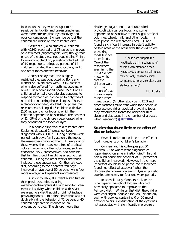<span id="page-14-0"></span>food to which they were thought to be sensitive. Irritability and unreasonableness were more affected than hyperactivity and poor concentration. Eighteen percent of the children did worse on the restricted diet.

Carter *et al*., who studied 78 children with ADHD, reported that 73 percent improved on a few-food (oligoantigenic) diet, though that phase of the study was not double-blind.29 In a follow-up double-blind, placebo-controlled trial of 19 responders, ratings by parents of 14 children indicated that dyes, chocolate, milk, and other foods affected behavior.

Another study that used a highly restricted diet was conducted by Boris and Mandel on 26 children with ADHD, most of whom also suffered from asthma, eczema, or hives.<sup>30</sup> In a non-blinded phase, 15 out of 17 children who had those allergies appeared to respond to that diet, compared to only five of nine children lacking those allergies. Then, in a placebo-controlled, double-blind phase, the researchers challenged 16 children with dyes (100 mg per day) or foods to which the children appeared to be sensitive. The behavior of 11 (69%) of the children deteriorated when they consumed the foods or dyes.

In a double-blind trial of a restricted diet, Kaplan *et al*. tested 24 preschool boys diagnosed with ADHD.<sup>31</sup> During a seven-week period, each boy's family ate only the foods the researchers provided them. During four of those weeks, the meals were free of artificial colors, flavors, and other substances, such as chocolate, MSG, preservatives, and caffeine, that families thought might be affecting their children. During the other weeks, the foods included those substances. On the restricted diet, according to their parents, ten boys improved an average of 50 percent, while four more averaged a 12-percent improvement.

A study by Uhlig *et al* went a step further than previous studies by using electroencephalograms (EEG) to monitor brain electrical activity when children with ADHD were eating a diet that did or did not include provoking foods.32 In a first phase that was not double-blind, the behavior of 71 percent of 45 children appeared to improve on an oligoantigenic diet. The children were then

challenged (again, not in a double-blind protocol) with various foods, and some appeared to be sensitive to beet sugar, artificial colorings, wheat, milk, and other foods. In a third phase, the researchers used EEG and found a significant increase in beta-1 activity in certain areas of the brain after the children ate

provoking foods but not other foods. One of the researchers examining the EEGs did not know which diet the children were on. The import of that finding needs to be further

*"These data support the hypothesis that in a subgroup of children with attention deficit hyperactivity disorder certain foods may not only influence clinical symptoms but may also alter brain electrical activity."*

T. Uhlig *et al.*

investigated. (Another study using EEG and other methods found that when food-sensitive hyperactive children avoided provoking foods they experienced increased beneficial REM sleep and decreases in the number of arousals when sleeping.33) ● **[RETURN](#page-3-0)**

#### **Studies that found little or no effect of diet on behavior**

Several studies found little or no effect of food ingredients on children's behavior.

Conners and his colleagues put 30 children, 22 of whom were diagnosed as hyperkinetic, on an elimination diet.<sup>34</sup> In that non-blind phase, the behavior of 73 percent of the children improved. However, in the more important double-blind phase, the researchers found "no effect whatsoever" when the children ate cookies containing dyes or placebo cookies alternately for four one-week periods.

In a small study, Conners *et al*. tested nine hyperactive schoolchildren who had previously appeared to improve on the Feingold diet.<sup>35</sup> While on that diet, the children were challenged, double-blind, on just one day each with cookies containing 0 or 26 mg of artificial colors. Consumption of the dyes was not associated with significantly more errors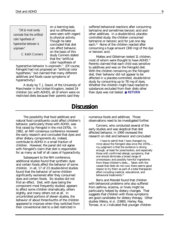*"[W]e must surely conclude that the artificial color hypothesis of hyperactive behavior is unproven."*

C. Keith Conners

on a learning task, and no differences were seen with regard to physical activity. Though he later concluded that diet can affect behavior, on the basis of this study Conners stated that the "artificial color hypothesis of

hyperactive behavior is unproven." (Of course, Feingold had not proposed an "artificial color hypothesis," but claimed that many different additives and foods cause symptoms of hyperactivity.)

A study by T. J. David, of the University of Manchester in the United Kingdom, tested 24 children (six with ADHD), all of whom were on restricted diets because their parents said they

suffered behavioral reactions after consuming tartrazine and sometimes benzoic acid and other additives. In a double-blind, placebocontrolled study, the children consumed tartrazine or benzoic acid for just one day each.36 None of the children reacted after consuming a huge amount (300 mg) of the dye or benzoic acid.

Mattes and Gittelman tested 11 children, most of whom were thought to have ADHD.<sup>37</sup> Parents claimed that each child was sensitive to additives and was on the Feingold diet. With the children remaining on the Feingold diet, their behavior did not appear to be affected in a placebo-controlled, double-blind study by consuming up to 78 mg of dyes. Whether the children might have reacted to substances excluded from their diets other than dyes was not tested. ● **[RETURN](#page-3-0)**

### **Discussion**

The possibility that food additives and natural food constituents could affect children's behavior, particularly those with ADHD, was first raised by Feingold in the mid-1970s. In 1982, an NIH consensus conference reviewed the early research and concluded that dyes and other dietary components do, indeed, contribute to ADHD in a small fraction of children. However, the panel did not agree with Feingold's claim that diet is responsible for as many as half of all cases of hyperactivity.

Subsequent to the NIH conference, additional studies found that synthetic dyes and certain foods affect the behavior of some children. In all, 17 of 23 double-blind studies found that the behavior of some children significantly worsened after they consumed dyes and certain foods. Six studies did not find an effect. Diet, with dyes being the component most frequently studied, appears to affect some children dramatically, others slightly, and many others not at all. In uncontrolled portions of eleven studies, the behavior of about three-fourths of the children appeared to improve when they switched from their conventional diet to a diet restricted in

numerous foods and additives. Those observations need to be investigated further.

Conners, who conducted several of the early studies and was skeptical that diet affected behavior, in 1990 reviewed the research on diet and behavior and concluded:

> I have to admit that I have changed my mind about the Feingold idea since the 1970s.... my judgment is that the evidence is strong enough, at least for preschoolers, and especially those with confirmed allergic symptoms, that one should eliminate a broad range of unnecessary and possibly harmful ingredients from these children's diets.... Taken with the caveat that diets do not cure, there seems good reason to try them as part of a total therapeutic effort including medical, educational, and behavioral treatments.<sup>38</sup>

Boris and Mandel found that children with behavioral problems who also suffered from asthma, eczema, or hives might be particularly helped by dietary changes. That suggests that children with those symptoms are good candidates for dietary therapy. Other studies (Weiss, *et al*. (1980), Harley, Ray, Tomasi, *et al*.) indicated that younger children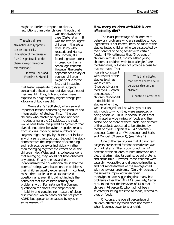<span id="page-16-0"></span>might be likelier to respond to dietary restrictions than older children, though that

*"Through a simple elimination diet symptoms can be controlled. . . . Elimination of the causes of ADHD is preferable to the pharmacologic therapy of this condition."*

Marvin Boris and

was not always the case (Carter *et al*.). It was the two youngest children in the Weiss et al. study who reacted, and Harley, Ray, Tomasi, *et al*. found a greater effect in preschool than in school-age children. However, the greater apparent sensitivity of younger children Francine S. Mandel *"This trial indicates* might be due to the fact that in studies

that tested sensitivity to dyes all subjects consumed a fixed amount of dye regardless of their weight. Thus, lighter children were exposed to a significantly higher dosage per kilogram of body weight.

Weiss *et al*.'s 1980 study offers several important lessons concerning the conduct and interpretation of studies. First, if the two children who reacted to dyes had not been included among the 22 subjects, the study would have been interpreted as "proving" that dyes do not affect behavior. Negative results from studies involving small numbers of subjects might, simply by chance, not include any of a sensitive subgroup. Second, the study demonstrates the importance of examining each subject's behavior individually, rather than averaging together the effects on all the children. Had Weiss and his colleagues done that averaging, they would not have observed any effect. Finally, the researchers individualized their questionnaires so that the parents' ratings were based on the problems their children usually experienced. In contrast, most other studies used a standardized questionnaire, even if it did not include the behaviors that the children actually had problems with. For instance, the Conners' questionnaire "places little emphasis on irritability and contains no measure of sleep disturbance," which behaviors are not part of ADHD but appear to be caused by dyes in some research.<sup>39</sup>

#### **How many children with ADHD are affected by diet?**

The exact percentage of children with behavioral problems who are sensitive to food ingredients is not known, because most of the studies tested children who were suspected by their parents of being sensitive to certain foods. NIMH estimates that "5 percent of children with ADHD, mostly either young children or children with food allergies" are food-sensitive, but does not provide a basis for

that estimate. That figure is consistent with several of the studies (such as Weiss *et al*.'s [9 percent]) using food dyes. Greater percentages of children responded in double-blind studies when they

*that diet can contribute to behaviour disorders in children."*

Christine Carter et al.

were challenged not just with dyes but also with foods to which they were suspected of being sensitive. Thus, in several studies that eliminated a wide variety of foods and then added one or more of them back, half or more of the subjects appeared to be affected by foods or dyes: Kaplan *et al*. (42 percent-58 percent), Carter *et al*. (74 percent), and Boris and Mandel (69 percent); (see Table 1).

One of the few studies that did not test subjects preselected for food sensitivities was Schmidt *et al*.'s. That study found that 24 percent of the children studied improved on a diet that eliminated tartrazine, cereal proteins, and citrus fruit. However, those children were severely hyperactive and disruptive inpatients and not representative of the average child with behavioral problems. (Only 44 percent of the subjects improved when given methylphenidate, suggesting that many had problems other than ADHD.) Similarly, Carter *et al*. found that the behavior of 14 out of 19 children (74 percent), who had not been selected for being sensitive to foods, reacted to dyes or foods.

Of course, the overall percentage of children affected by foods does not matter when it comes down to *your* child.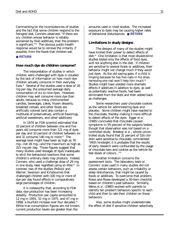<span id="page-17-0"></span>Commenting on the inconsistencies of studies and the fact that some children respond to the Feingold diet, Conners observed, "If there are *any* children whose behavior is reliably worsened by food additives, then the problem is significant."40 The obvious public-health response would be to remove the irritants, if possible, from the foods that children eat.

#### ● **[RETURN](#page-3-0)**

#### **How much dye do children consume?**

The interpretation of studies in which children were challenged with dyes is clouded by the lack of information on how much dye children actually consume in their everyday lives.<sup>41</sup> Several of the studies used a dose of 26 mg per day, the presumed average daily consumption of six to nine dyes. However, children may well consume more dye than adults, because so many child-oriented candies, beverages, cakes, frozen desserts, breakfast cereals, and other foods are artificially colored (and also contain a multitude of preservatives, artificial flavorings, artificial sweeteners, and other additives).

In 1976 an FDA scientist estimated that 10 percent of children between one and five years old consume more than 121 mg of dyes per day and 10 percent of children between six and 11 consume 146 mg or more.<sup>42</sup> The average level might have been as high as 76 mg—not 26 mg—and the maximum as high as 315 mg per day. Those figures suggest that many studies used dosages of dyes inadequate to elicit the behavioral reactions that some children's ordinary diets may produce. Indeed, Conners, who used a challenge dose of 26 mg in one study, later regretted using so little.<sup>43</sup> In contrast, two of the studies (Pollock and Warner; Swanson and Kinsbourne) that challenged children with 100 mg or more of dye per day found effects in comparatively large percentages of children.

It is noteworthy that, according to FDA data, dye production has been increasing steadily. Production per capita amounted to 12 mg in 1955, 32 mg in 1975, and 47 mg in 1998, a fourfold increase over four decades.<sup>44</sup> While true consumption figures are not known, current production levels are greater than the

amounts used in most studies. The increased exposure to dyes may be causing higher rates of behavioral disturbances. ● **[RETURN](#page-3-0)**

#### **Limitations in study designs**

The designs of many of the studies might have limited their power to detect effects of diet.45 One limitation is that most double-blind studies tested only the effects of food dyes, and not anything else in the diet. If children are sensitive to several foods or additives, their behavior might not change much if they avoid just dyes. As the old saying goes, if a child is limping because he has five nails in his shoe, removing one nail won't help him much.46 Studies might have yielded more dramatic effects if additives in addition to dyes, as well as potentially reactive foods, had been eliminated from the diets and then added back as challenges.

Some researchers used chocolate cookies as the vehicle for administering dyes and placebo. Some children might have reacted to the chocolate, thereby making it more difficult to detect effects of the dyes. Egger *et al*. (1985) concluded that chocolate caused symptoms in 59 percent of the subjects tested, though that observation was not based on a controlled study. Breakey *et al*., whose uncontrolled study found that 31 percent of 516 children were sensitive to chocolate, commented: "With hindsight, it is probable that the results of early research were confounded by the usage of chocolate bars and cookies as the vehicle for test doses of colours..."47

Another limitation concerns the assessment tools. The laboratory tests or Conners' scale used in many studies did not assess certain behaviors, such as irritability or sleep disturbances, that might be caused by foods or additives. To overcome that problem, Rowe and Rowe developed a 30-item checklist based on children's past behavior. Similarly, Weiss *et al*. (1980) worked with parents to identify ten problem behaviors specific to each child and then to rate their children on those behaviors.

Also, some studies might underestimate the effect of diet if sensitive children selectively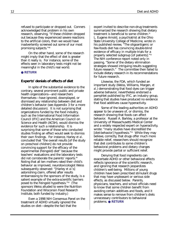<span id="page-18-0"></span>refused to participate or dropped out. Conners acknowledged that problem in his own research, observing, "If these children dropped out because they experienced severe reactions to the artificial colors, then we would have inadvertently screened out some of our most promising subjects."48

On the other hand, some of the research might imply that the effect of diet is greater than it really is. For instance, some of the effects seen in laboratory tests might not be meaningful in the child's real world.

#### ● **[RETURN](#page-3-0)**

#### **Experts' denials of effects of diet**

In spite of the substantial evidence to the contrary, several prominent public and private health organizations—and researchers themselves—have ignored, downplayed, or dismissed any relationship between diet and children's behavior (see Appendix 3 for a more detailed discussion). It is not surprising that organizations funded by the food industry, such as the International Food Information Council (IFIC) and the American Council on Science and Health (ACSH), would dismiss the evidence for such a relationship. It is surprising that some of those who conducted studies finding an effect would seek to dismiss their own findings. For instance, Harley *et al*. concluded that "the overall results [of the study on preschool children] do not provide convincing support for the efficacy of the experimental (Feingold) diet" because the teachers' evaluations and the laboratory tests did not corroborate the parents' reports.49 Noting that all ten mothers rated their child's behavior as improved, neurotoxicologist Weiss subsequently observed: "[Harley *et al*.'s] astonishing claim, offered after results embarrassing to the sponsors of the study, is a salient example of the extra-scientific barriers posed to the Feingold hypothesis."50 (The sponsors Weiss alluded to were the Nutrition Foundation and Wisconsin Food Research Institute, both funded by industry.)

Even a 1998 NIH Consensus Panel on the treatment of ADHD virtually ignored the studies on diet—despite the fact that the

expert invited to describe non-drug treatments summarized the research showing that dietary treatment is beneficial to some children.<sup>51</sup> L. Eugene Arnold, a psychiatrist at the Ohio State University College of Medicine, wrote in his published review, "The oligoantigenic or few-foods diet has convincing double-blind evidence of efficacy in multiple trials for a properly selected subgroup [of patients]."52 The NIH conference report noted only in passing, "Some of the dietary elimination strategies showed intriguing results suggesting future research." The committee then failed to include dietary research in its recommendations for future research.

Likewise, the FDA, which funded an important study (Weiss, Williams, Margen, *et al*.) demonstrating that food dyes can trigger adverse behavior, nevertheless endorsed a pamphlet published by IFIC, an industry group, stating that studies have produced no evidence that food additives cause hyperactivity.

Some of the leading authorities on ADHD appear to be unaware of, or dismiss, the research showing that foods can affect behavior. Russell A. Barkley, a professor at the University of Massachusetts Medical Center and a widely respected expert on hyperactivity, wrote: "many studies have discredited the [diet-behavior] hypothesis."<sup>53</sup> While they may believe, correctly, that drugs offer much more reliable relief, researchers should recognize that diet contributes to some children's behavioral problems and dietary changes might provide partial or sufficient relief.

Denying that food ingredients can exacerbate ADHD or other behavioral effects reflects ignorance of the scientific research, and ignoring that research jeopardizes children's well-being. Millions of young children have been prescribed stimulant drugs that may have unpleasant or serious side effects, as discussed below. Parents, physicians, teachers, and school officials need to know that some children benefit from avoiding certain additives and foods, and it makes sense to remove from children's diets unnecessary contributors to behavioral problems. ● **[RETURN](#page-3-0)**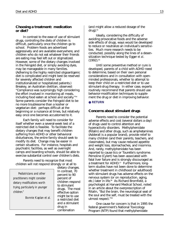#### <span id="page-19-0"></span>**Choosing a treatment: medication or diet?**

In contrast to the ease of use of stimulant drugs, controlling the diets of children is difficult, particularly once the children go to school. Problem foods are advertised aggressively and are available everywhere, and children who do not eat whatever their friends are eating may feel left out or stigmatized. However, some of the dietary changes involved in the Feingold diet, or simply avoiding dyes, may be manageable in many families. (Adhering to the highly restricted oligoantigenic diet is complicated and might best be reserved for severely affected children and institutionalized or hospitalized patients.) Breakey, an Australian dietitian, observed: "Compliance was surprisingly high considering the effort involved in monitoring all meals, including food eaten at school and socially."54 Some parents consider the Feingold diet to be no more troublesome than a kosher or vegetarian diet: perhaps difficult at the beginning or a nuisance at times, but relatively easy once one becomes accustomed to it.

Each family will need to consider for itself whether even a several-week test of a restricted diet is feasible. To facilitate the dietary changes that may benefit children suffering from ADHD or other behavioral disturbances, the entire family should seek to modify its diet. Change may be easier in certain situations. For instance, hospitals and psychiatric facilities, as well as overnight camps and boarding schools, should be able to exercise substantial control over children's diets.

Parents need to recognize that most children will not respond strongly or at all to

*Pediatricians and other practitioners might consider dietary modifications worth trying, particularly in younger children."*

Bonnie Kaplan *et al.*

dietary changes. In contrast, 70 percent to 90 percent of children respond to stimulant drugs. The most effective option might be to use a restricted diet and a stimulant drug in combination

(and might allow a reduced dosage of the  $drug).$ <sup>55</sup>

Ideally, considering the difficulty of avoiding provocative foods and the adverse side effects of drugs, ways would be developed to reduce or neutralize an individual's sensitivities. Much more research needs to be conducted, possibly along the lines of a desensitization technique tested by Egger *et al*.  $(1992).$ <sup>56</sup>

Until some preventive method or cure is developed, parents of a child with ADHD need to determine, based on their own personal considerations and in consultation with openminded professionals, whether to attempt to keep their child on a restricted diet or to use stimulant-drug therapy. In either case, experts routinely recommend that parents should use behavior-modification techniques to supplement the drug or diet in improving behavior.

#### ● **[RETURN](#page-3-0)**

#### **Concerns about stimulant drugs**

Parents need to consider the potential adverse effects and cost (several dollars a day) of drugs used to control attention and hyperactivity disorders. Methylphenidate (Ritalin) and other drugs, such as amphetamines (Adderall is a popular brand), provide relief to many children (and their parents, teachers, and classmates), but may cause reduced appetite and weight loss, stomachaches, and insomnia. And, rarely, methylphenidate has been reported to cause tics or Tourette's syndrome. Pemoline (Cylert) has been associated with fatal liver failure and is strongly discouraged as a treatment for ADHD.<sup>57</sup> Furthermore, longterm studies have not been done to determine whether treatment in childhood (or adulthood) with stimulant drugs has adverse effects on the nervous system (or on reproduction, aging, etc.) later in life.<sup>58</sup> As Richard Bromfield, a psychologist at Harvard Medical School, noted in an article about the overprescription of Ritalin, "But the brain, the neurological seat of the soul and the self, must be treated with the utmost respect."59

One cause for concern is that in 1995 the federal government's National Toxicology Program (NTP) found that methylphenidate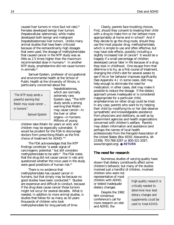caused liver tumors in mice (but not rats).<sup>60</sup> Females developed benign liver tumors (hepatocellular adenomas), while males developed both benign and malignant (hepatoblastomas) liver tumors. Unlike many animal studies that have been criticized because of the extraordinarily high dosages that were used, the dosage of methylphenidate that caused cancer in the NTP study was as little as 2.5 times higher than the maximum recommended dose in humans.<sup>61</sup> In another NTP study, amphetamine did not cause tumors in animals. $62$ 

Samuel Epstein, professor of occupational and environmental health at the School of Public Health at the University of Illinois, is particularly concerned about the

*"The NTP study sends a powerful warning that Ritalin may cause cancer ... in humans."*

hepatoblastomas, which are normally extremely rare. Epstein says, "The NTP study sends a strong warning that Ritalin may cause cancer—in the liver or other organs—in humans. Millions of young

Samuel Epstein

children take Ritalin for years on end, and children may be especially vulnerable. It would be prudent for the FDA to discourage doctors from prescribing Ritalin as the first choice of treatment for ADHD."63

The FDA acknowledges that the NTP findings constitute "a weak signal of carcinogenic potential," but still considers methylphenidate to be safe.<sup>64</sup> The FDA notes that the drug did not cause cancer in rats and questioned whether the mice used in the study were good predictors of human risk.<sup>65</sup>

There is no evidence that methylphenidate has caused cancer in humans, but that simply may be because no good studies have been conducted.<sup>66</sup> Studies are expensive and difficult to conduct, because if the drug does cause cancer those tumors might not occur for several decades. What is needed, in addition to more animal studies, is studies that follow for as many as 50 years thousands of children who took methylphenidate for long periods of time.

Clearly, parents face troubling choices. First, should they consent to treating their child with a drug to make him or her behave more appropriately at home and in school? And if they decide to go the drug route, should they use the most popular drug, methylphenidate, which is simple to use and often effective, but may have side effects, possibly including a slightly increased risk of cancer? It would be a tragedy if a small percentage of children developed cancer later in life because of a drug they took in childhood. One escape from that dilemma is to try, as a first course of treatment, changing the child's diet for several weeks to see if his or her behavior improves significantly. (See Appendix 4.) In some cases, diet may help enough to eliminate the need for medication; in other cases, diet may make it possible to reduce the dosage. If the dietary approach proves inadequate or is considered inappropriate for a particular child, amphetamines (or other drug) could be tried. In any case, parents who want to try helping their child by modifying his or her diet deserve sympathetic and knowledgeable assistance from physicians and dietitians, as well as by government agencies and health organizations concerned with children's welfare. Parents may obtain information and assistance (and perhaps the names of local health professionals) from the Feingold Association of the United States (Box 6550; Alexandria, VA 22306; 703-768-3287 or 800-321-3287; www.feingold.org). ● **[RETURN](#page-3-0)**

#### **The need for research**

Numerous studies of varying quality have shown that dietary constituents affect some children's behavior, but many of the studies involved just a handful of children, involved

children who were not representative of most children with ADHD, or tested inadequate dietary changes.

Despite the 1982 NIH consensus conference's call for more research on diet and ADHD, the

High-quality research is critically needed to determine how best dietary changes and supplements could be used to treat ADHD.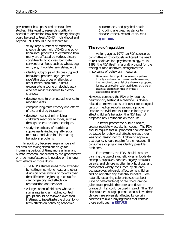<span id="page-21-0"></span>government has sponsored precious few studies. High-quality research is critically needed to determine how best dietary changes could be used to treat ADHD in childhood and beyond. NIH should fund research to:

- study large numbers of randomly chosen children with ADHD and other behavioral problems to determine how many are affected by various dietary constituents (food dyes; benzoate; conventional foods such as wheat, egg, milk, soy, chocolate; salicylates; etc.);
- identify subgroups of children (type of behavioral problem, age, gender, race/ethnicity, types of allergies or other health problems, *in utero* exposure to nicotine or alcohol, etc.) who are most responsive to dietary changes;
- develop ways to promote adherence to modified diets;
- compare long-term efficacy and effects of diet and drug therapies;
- develop means of minimizing children's reactions to foods, such as through desensitization techniques.
- study the efficacy of nutritional supplements (including fatty acids, minerals, and vitamins) in treating behavioral problems.

In addition, because large numbers of children are taking stimulant drugs for increasing periods of time, more animal and human research, conducted by the government or drug manufacturers, is needed on the longterm effects of those drugs.

- The NTP's studies need to be extended by testing methylphenidate and other drugs on other strains of rodents over their lifetime (beginning *in utero*) for carcinogenicity and effects on reproduction and behavior.
- A large cohort of children who take stimulants (and a matched control group) should be followed over their lifetimes to investigate the drugs' longterm effects on behavior, academic

performance, and physical health (including allergies, resistance to disease, cancer, reproduction, etc.).

● **[RETURN](#page-3-0)**

#### **The role of regulation**

As long ago as 1977, an FDA-sponsored committee of toxicologists indicated the need to test additives for "psychotoxicology."67 In 1993, the FDA itself, in a draft protocol for the testing of food additives, recognized the importance of behavioral measures:

> Because of the impact that nervous system toxicity can have on human health, assessing the neurotoxic potential of a chemical proposed for use as a food or color additive should be an essential element in that chemical's toxicological profile.<sup>68</sup>

However, currently the FDA only requires neurotoxicity testing if a chemical is closely related to known toxins or if other toxicological tests or medical reports suggest a problem. Despite the evidence that food colorings can affect children's behavior, the FDA has not proposed any limitations on their use.

To better protect the public's health, greater regulatory activity is needed. The FDA should require that all proposed new additives be tested for behavioral effects, unless there was good reason not to. Following approval, that agency should require further research if consumers or physicians identify possible problems.

Furthermore, the FDA should consider banning the use of synthetic dyes in foods (for example, cupcakes, candies, sugary breakfast cereals, and children's vitamin pills, drugs, and toothpaste) widely consumed by children, because dyes adversely affect some children and do not offer any essential benefits. Safe naturally occurring colorants (such as beet juice or beta-carotene) or real food (orange juice could provide the color and flavor in orange drinks) could be used instead. The FDA also could encourage parents who believe their children are adversely affected by certain additives to avoid buying foods that contain those additives. ● **[RETURN](#page-3-0)**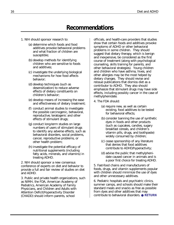# **Recommendations**

- <span id="page-22-0"></span>1. NIH should sponsor research to:
	- (a) determine which foods and food additives provoke behavioral problems and what fraction of children are susceptible;
	- (b) develop methods for identifying children who are sensitive to foods and additives;
	- (c) investigate the underlying biological mechanisms for how food affects behavior;
	- (d) develop techniques (such as desensitization) to reduce adverse effects of dietary constituents on children's behavior;
	- (e) develop means of increasing the ease and effectiveness of dietary treatment;
	- (f) conduct animal studies to investigate the possible carcinogenic, behavioral, reproductive, teratogenic and other effects of stimulant drugs;
	- (g) conduct long-term studies on large numbers of users of stimulant drugs to identify any adverse effects, such as behavioral disorders, social problems, cancer, reproductive problems, or other health problem;
	- (h) investigate the potential efficacy of nutritional supplements (including fatty acids, minerals, and vitamins) in treating ADHD.

2. NIH should sponsor a new consensus conference of experts on diet and behavior to provide a full and fair review of studies on diet and ADHD.

3. Public and private health organizations, such as NIMH, the FDA, American Academy of Pediatrics, American Academy of Family Physicians, and Children and Adults with Attention Deficit/Hyperactivity Disorder (CHADD) should inform parents, school

officials, and health-care providers that studies show that certain foods and additives provoke symptoms of ADHD or other behavioral problems in some children. They should suggest that dietary therapy, which is benign and inexpensive, be considered as the first course of treatment (along with psychological counseling, skills training for parents, and other behavioral strategies). Young children and children who have asthma, hives, and other allergies may be the most helped by dietary changes. They should revise and reissue publications that dismiss diet as a contributor to ADHD. They also should emphasize that stimulant drugs may have side effects, including possibly cancer in the case of methylphenidate.

- 4. The FDA should:
	- (a) require new, as well as certain existing, food additives to be tested for behavioral effects;
	- (b) consider banning the use of synthetic dyes in foods and other products (such as cupcakes, candies, sugary breakfast cereals, and children's vitamin pills, drugs, and toothpaste) widely consumed by children;
	- (c) cease sponsorship of any literature that denies that food additives contribute to ADHD/hyperactivity;
	- (d) advise the public that methylphenidate caused cancer in animals and is a poor first choice for treating ADHD.

5. Fast-food chains and manufacturers of foods, drugs, and vitamin supplements popular with children should minimize the use of dyes and other unnecessary additives.

6. Pediatric hospitals and psychiatric clinics, summer camps, and schools should make their standard meals and snacks as free as possible from dyes and other additives that may contribute to behavioral disorders. ● **[RETURN](#page-3-0)**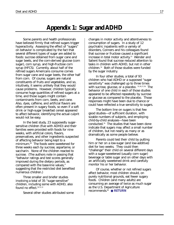# **Appendix 1: Sugar and ADHD**

<span id="page-23-0"></span>Some parents and health professionals have believed firmly that refined sugars trigger hyperactivity. Assessing the effect of "sugars" on behavior is complicated by the fact that several different types of sugar are added to foods: sucrose obtained from sugar cane and sugar beets, and the corn-derived glucose (corn sugar), corn syrup, and high-fructose corn syrup (HFCS). Currently, about half of the refined sugars Americans consume comes from sugar cane and sugar beets, the other half from corn. Of course, sugars are natural constituents of fruits and vegetables, and so, intuitively, it seems unlikely that they would cause problems. However, children typically consume huge quantities of refined sugars at a time, and those sugars might contain contaminants from corn, beets, and cane. Also, dyes, caffeine, and artificial flavors are often present in sugary foods, so even if a soft drink or high-sugar breakfast cereal appeared to affect behavior, identifying the actual culprit would not be easy.

In the best study, 23 supposedly sugarsensitive children (five with ADHD) and their families were provided with foods for nine weeks, with artificial colors, flavors, preservatives, and other ingredients suspected of affecting behavior being kept to a minimum.69 The foods were sweetened for three weeks each by sucrose, aspartame, or saccharin. None of the children reacted to sucrose. (The authors note in passing that "behavior ratings and test scores generally improved during the dietary periods, as compared with the base-line values," suggesting that the restricted diet benefited numerous children.)

Three smaller and briefer studies involving a total of 35 "sugar-sensitive" children, including some with ADHD, also found no effect. $70,71,72$ 

Several other studies attributed some

changes in motor activity and attentiveness to consumption of sugars. In a study of 12 psychiatric inpatients with a variety of disorders, Conners and his colleagues found that sucrose or fructose caused a significant increase in total motor activity.73 Wender and Salient found that sucrose reduced attention to tasks in children with ADHD, but not in other children.74 Both of those studies were funded by the sugar industry.

In four other studies, a total of 93 children who had ADHD or a supposed "sugar sensitivity" was challenged up to three times with sucrose, glucose, or a placebo. <sup>75,76,77,78</sup> The behavior of one child in each of those studies appeared to be affected repeatedly by sucrose or glucose as compared to the placebo. Those responses might have been due to chance or could have reflected a true sensitivity to sugars.

The bottom line on sugars is that few good studies—of sufficient duration, with sizable numbers of subjects, and employing child-by-child analyses—have been conducted.79 The studies that have been done indicate that sugars may affect a small number of children, but not nearly as many or as dramatically as some people believe.

Parents could test their child by putting him or her on a low-sugar (and low-additive) diet for two weeks. They could then "challenge" their child on several different days with a sugar-sweetened (usually corn sugar) beverage or table sugar and on other days with an artificially sweetened drink and carefully monitor his or her behavior.

Of course, whether or not refined sugars affect behavior, most children should, on purely nutritional grounds, eat fewer sugary foods. Children (and many adults) are consuming an average of twice as much sugar as the U.S. Department of Agriculture recommends.80 ● **[RETURN](#page-3-0)**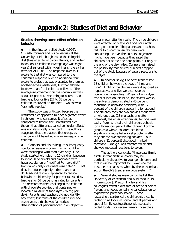# **Appendix 2: Studies of Diet and Behavior**

#### <span id="page-24-0"></span>**Studies showing some effect of diet on behavior**

In the first controlled study (1976), C. Keith Conners and his colleagues at the University of Pittsburgh tested the Feingold diet (free of artificial colors, flavors, and certain foods) on 15 children (average age was eight years) diagnosed with hyperkinesis (the earlier term for ADHD).<sup>81</sup> The response over four weeks to that diet was compared to the children's response over an additional four weeks to a diet that was presented to them as another experimental diet, but that allowed foods with artificial colors and flavors. The average improvement on the special diet was about 15 percent. According to parents and teachers, four or five (27 to 33 percent) children improved on the diet. Two showed "dramatic results."

The study was criticized because the restricted diet appeared to have a greater effect in children who consumed it after, as compared to before, the unrestricted diet, though that difference, called an "order effect," was not statistically significant. The authors suggested that the placebo-first group, by chance, might have had more diet-responsive children.

Conners and his colleagues subsequently conducted several studies in which children were challenged with food dyes only. One study started with placing 16 children between four and 11 years old and diagnosed with hyperactivity on a "modified Feingold diet" from which only dyes were eliminated."82 That diet, introduced openly rather than in a double-blind fashion, appeared to reduce behavior problems by 34 percent (as rated by teachers) or 57 percent (as rated by parents). The researchers then challenged the children with chocolate cookies that contained (or lacked) a mixture of food dyes (26 mg per day). Parents and teachers did not identify any effect, but three of the children (six and seven years old) showed "a marked deterioration of performance" in an objective

visual-motor attention task. The three children were affected only at about one hour after eating one cookie. The parents and teachers' failure to discern when children were consuming the dye, the authors conjectured, might have been because they rated the children not at the one-hour point, but only at the end of the day. Also, Conners has raised the possibility that several subjects dropped out of the study because of severe reactions to the dyes.

In another study, Conners' team tested 13 children between the ages of three and nine.<sup>83</sup> Eight of the children were diagnosed as hyperactive, and five were considered borderline hyperactive. When put on a dyefree diet (not double-blind) for several weeks, the subjects demonstrated a 45-percent reduction in behavior problems, with 77 percent of the children appearing to respond. The children then ate two cookies made with or without dyes (13 mg each, one after breakfast, the other after dinner) for one week each. Parents rated their children's behavior for a three-hour period after dinner. For the group as a whole, children exhibited significantly more behavioral problems after they ate the dye-containing cookies. Four children (31 percent) displayed marked reactions. One girl was retested twice and showed repeated reactions to colors.

The authors conclude, "these data firmly establish that artificial colors may be particularly disruptive to younger children and that it will be important to ... examine the possible mechanisms whereby these chemicals act on the CNS [central nervous system]."

Several studies were conducted at the University of Wisconsin and published in 1978. In one study, J. Preston Harley and his colleagues tested a diet free of artificial colors, flavors, and foods containing salicylates on ten hyperactive preschool boys.<sup>84</sup> Those researchers controlled the children's diets by replacing all foods at home (and at parties and special family get-togethers) with specially coded foods. For several weeks, those diets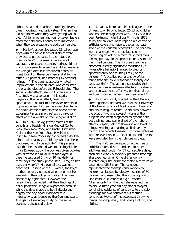either contained or lacked "ordinary" levels of dyes, flavorings, and salicylates. The families did not know when they were getting which diet. All ten mothers and four of seven fathers rated their children's behavior as improved when they were eating the additive-free diet.

Harley's group also tested 36 school-age boys with the same kinds of diets as were provided to participants in their study on preschoolers.85 The results were mixed: Laboratory tests and teachers' ratings did not find improvements when the children were on the Feingold diet, but "improved behavior [was] found on the experimental diet for the father [47 percent] and mother [36 percent] ratings ..." The parents especially noted improvement in the children who consumed the placebo diet before the Feingold diet. The same "order effect" seen in Conners *et al.*'s first study was also seen in this study. Regarding the order effect, Swanson speculated, "The fact that behavior remained improved when children were switched from the additive-free to the placebo phase of the experiment may simply reflect a carryover effect of the 4 weeks on the Feingold diet."86

In a 1978 study, Jeffrey Mattes of the Long Island Jewish–Hillside Medical Center in Glen Oaks, New York, and Rachel Gittelman-Klein of the New York State Psychiatric Institute in New York City conducted a doubleblind trial on a 10-year-old boy who had been diagnosed with hyperactivity.<sup>87</sup> His parents said that he responded well to a Feingold diet. In an 11-week study, the boy was given cookies with or without a mixture of food dyes (a baseline test used 5 mg or 10 mg daily for three days; the study phase used 10 mg on two days per week).<sup>88</sup> His overall diet was not described. In nine of the 11 weeks, the boy's mother correctly guessed whether or not he was eating the cookies with dye. That was statistically significant. However, the researchers concluded that their findings did not support the Feingold hypothesis because, while the dyes made the boy irritable and fidgety, the boy never exhibited true hyperactivity as judged by the Conners' scale. A larger, but negative, study by the same authors is discussed below.

J. Ivan Williams and his colleagues at the University of Toronto tested 26 schoolchildren who had been diagnosed with ADHD and had been taking stimulant drugs. $89$  In this 1978 study, the children were kept on a diet free of artificial colors and flavors, though at least seven of the children "cheated." The children were challenged with chocolate cookies containing or lacking a mixture of food dyes (26 mg per day) in the presence or absence of their medications. The children's teachers observed "clearly significant reductions [in hyperactive behavior] related to diet for approximately one-fourth [3 to 8] of the children." A detailed reanalysis by Weiss found that one child responded "sharply and consistently."90 The authors concluded that while diet was sometimes effective, the stimulant drug was more effective, but that "drugs and diet provide the best treatment effect."

In a 1980 study funded by the FDA and other agencies, Bernard Weiss of the University of Rochester School of Medicine and Dentistry and his colleagues tested 22 children between the ages of two and seven.<sup>91</sup> None of the subjects had been diagnosed as hyperkinetic, but their parents complained of their short attention span, habit of throwing and breaking things, whining, and acting as if driven by a motor. The parents believed that those problems were relieved when artificial colors and flavors were excluded from their children's diets.

The children were put on a diet free of artificial colors, flavors, and certain other additives and foods. For 77 consecutive days, each child drank a specially prepared beverage at a specified time. On eight randomly selected days, the drink concealed a mixture of seven dyes (35.3 mg). That amount represented the average consumption by children, as judged by dietary histories of 80 children who resembled the study population. One child, a 34-month-old girl, reacted "dramatically" on the days she received the colors. A three-year-old boy also displayed convincing evidence of sensitivity to the color challenge for two behaviors his mother considered typical of his outbursts: throwing things inappropriately, and biting, kicking, and hitting.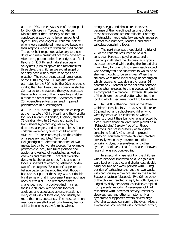◆ In 1980, James Swanson of the Hospital for Sick Children in Toronto and Marcel Kinsbourne of the University of Toronto conducted a study using larger amounts of dyes.92 They challenged 40 children, half of whom were considered hyperactive based on their responsiveness to stimulant medications. The other half responded adversely to those drugs and were presumed not to be hyperactive. After being put on a diet free of dyes, artificial flavors, BHT, BHA, and natural sources of salicylates (such as apples and tomatoes) for three days, the children were challenged on one day each with a mixture of dyes or a placebo. The researchers tested larger doses of dyes, 100 mg and 150 mg (the latter estimated by the FDA to be the 90th-percentile intake) than had been used in previous studies. Compared to the placebo, the dyes decreased the attention span of the hyperactive children but not the other children. Seventeen of the 20 hyperactive subjects suffered impaired performance in a learning test.

In 1985, Joseph Egger and his colleagues at the Institute of Child Health and the Hospital for Sick Children in London, England, studied 76 children (two to 15 years old) suffering from severe hyperactivity, neurological disorders, allergies, and other problems (those children were not typical of children with ADHD).<sup>93</sup> The researchers placed the children on a severely restricted "few food" ("oligoantigenic") diet that consisted of two meats, two carbohydrate sources (for example, potatoes and rice), two fruits (banana and apple), and variety of vegetables, as well as vitamins and minerals. That diet excluded dyes, milk, chocolate, citrus fruit, and other foods suspected of affecting behavior. Sixtytwo of the subjects (82 percent) appeared to behave better on the modified diet, though because that part of the study was not doubleblind some of that improvement may not have been due to diet. The researchers then challenged, not in a double-blind manner, those 62 children with various foods or additives and associated adverse reactions in every child with at least one, and usually to more than one, substance. The most common reactions were attributed to tartrazine, benzoic acid (a food preservative), milk, wheat,

oranges, eggs, and chocolate. However, because of the non-blinded testing protocol, those observations are not reliable. Contrary to Feingold's hypothesis, few subjects appeared to react to cucumbers, peaches, and other salicylate-containing foods.

The next step was a double-blind trial of 28 of the children presumed to be dietsensitive. Parents, a psychologist, and a neurologist all rated the children, as a group, as better behaved while eating the limited diet than when, for one to two weeks, each subject was covertly fed one substance to which he or she was thought to be sensitive. When the children were rated individually, depending on which researcher was doing the rating, 54 percent or 71 percent of the children behaved worse when exposed to the provocative food as compared to a placebo. However, 18 percent of the children behaved better when fed the food to which they were thought to be sensitive.

In 1988, Katherine Rowe of the Royal Children's Hospital in Victoria, Australia, tested 55 preschool and school-age children who were hyperactive (15 children) or whose parents thought their behavior was affected by diet.94 When those children were placed on a "Feingold diet" (largely free of synthetic additives, but not necessarily of salicylatecontaining foods), 40 showed improved behavior. Fourteen of those children reacted adversely when they returned to a diet containing dyes, preservatives, and other synthetic additives. That first phase of Rowe's research was not double-blind.

In a second phase, eight of the children whose behavior improved on a Feingold diet were kept on that diet and challenged, doubleblind, for two one-week periods with 50 mg per day of tartrazine (and another two weeks with carmoisine, a dye not used in the United States) or lactose (placebo). Two (25 percent) of the children reacted sharply to both dyes, as judged by daily behavioral checklists compiled from parents' reports. A seven-year-old girl responded with increased activity, irritability, sleeplessness, and other symptoms. Her symptoms disappeared within several days after she stopped consuming the dyes. Also, a 12-year-old boy reacted with increased activity,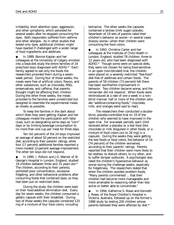irritability, short attention span, aggression, and other symptoms, which persisted for several weeks after he stopped consuming the dyes. Both responders suffered from asthma and other allergies. As in other studies that tested only dyes, additional children might have reacted if challenged with a wider range of food ingredients and additives.

In 1989, Bonnie Kaplan and her colleagues at the University of Calgary enrolled into a total-diet study the entire families of 24 preschool boys diagnosed with ADHD.95 Each family agreed to eat only the foods the researchers provided them during a sevenweek period. During four of those weeks, the meals were free of artificial colors, flavors, and other substances, such as chocolate, MSG, preservatives, and caffeine, that parents thought might be affecting their children. During the other three weeks, the meals provided to the families were unrestricted but designed to resemble the experimental meals as closely as possible.

To keep the families in the dark about which diets they were getting, Kaplan and her colleagues misled the participants with false clues, such as designating some days as "corn" days or by limiting beverage consumption to no more than one cup per meal for three days.

Ten (42 percent) of the 24 boys improved an average of about 50 percent on the restricted diet, according to their parents' ratings, while four (17 percent) additional families reported a more modest 12-percent average improvement. The other ten boys did not respond.

In 1990, I. Pollock and J.O. Warner of St. George's Hospital in London, England, studied 19 children between three and 15 years old.96 The children, according to their parents, exhibited poor concentration, excessive fidgeting, and other behavioral problems after consuming foods that contained dyes, so they had been put on restricted diets.

During the study, the children were kept on their food-additive elimination diet. Every day for seven weeks, the children consumed a gelatin capsule with their breakfast. During two of those weeks the capsules contained 125 mg of a mixture of four food colors, including

tartrazine. The other weeks the capsules contained a lactose (milk sugar) placebo. Seventeen of 19 sets of parents rated their children's behavior as worse—in several cases sharply worse—when their children were consuming the food colors.

In 1993, Christine Carter and her colleagues at the Institute of Child Health in London, England, studied 78 children, three to 12 years old, who had been diagnosed with ADHD.<sup>97</sup> Though some were on special diets, they were not chosen for being food-sensitive. In an open (non-blinded) trial, the children were placed on a severely restricted "few-food" diet free of additives and certain foods. The parents of 59 children (73 percent) felt there had been worthwhile improvement in behavior. Two children became worse, and the remainder did not respond. When foods were reintroduced at a rate of one a week in a nonblind manner, half or more of the children who ate "additive-containing foods," chocolate, milk, and oranges were said to react.

The researchers then conducted a doubleblind, placebo-controlled trial on 19 of the children who seemed to have improved in the open trial. For one-week periods, each child received either a placebo or a test food (like chocolate or milk disguised in other foods, or a mixture of food colors [six to 26 mg] in a capsule). During the weeks they were getting the test foods or food colors, the behavior of 14 (74 percent) of the children worsened, according to their parents' ratings. Parents reported that their children were more likely to be restless, to disturb others, to cry often, and to suffer temper outbursts. A psychologist also rated the children's hyperactive behavior as worse during the challenge weeks, especially for fidgetiness. The researchers stated that when the children avoided problem foods, "Many parents commented ... that their children had become more manageable and more amenable to reasoning rather than less active or better able to concentrate."

In 1994, Katherine S. Rowe and Kenneth J. Rowe, of the Royal Children's Hospital in Victoria, Australia, followed up on the former's 1988 study by testing 200 children whose parents believed they were affected by diet.<sup>98</sup>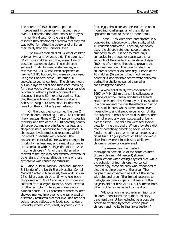The parents of 150 children reported improvement in behavior with a diet free of dyes, but deterioration after exposure to dyes, in a non-blind test. On the basis of that research they developed a system that they felt was better for rating the behavior of children in their study than the Conners' scale.

The Rowes then studied 54 other children between two and 14 years old. The parents of 34 of those children said they were likely or possible reactors to dyes. Those children suffered irritability, sleep disturbances, and restlessness. All 34 had been suspected of having ADHD, but only two were so diagnosed using the Conners' scale. The other 20 subjects served as controls. The children were put on a dye-free diet and then each morning for three weeks given a capsule or orange juice containing either a placebo or one of six dosages (1 mg to 50 mg) of tartrazine. Each day, the parents evaluated their children's behavior using a 30-item checklist that was based on their children's past behavior.

On the days they consumed the dye, 24 of the children (including 19 of 23 [83 percent] likely reactors, three of 11 [27 percent] possible reactors, and two of the 20 [10 percent] control children) became more irritable, restless, and sleep-disturbed, according to their parents. All six dosage levels produced reactions, which increased in severity with dosage. The researchers concluded, "Behavioral changes in irritability, restlessness, and sleep disturbance are associated with the ingestion of tartrazine in some children." All of the children who reacted to the dye also had asthma, eczema, or other signs of allergy, although none of those symptoms was caused by tartrazine.

Also in 1994, Marvin Boris and Francine S. Mandel of the North Shore Hospital–Cornell Medical Center in Manhasset, New York, studied 26 children, ages three to 11, who had been diagnosed with ADHD and most of whom also suffered from allergies (asthma, hives, eczema, or other symptom). In a preliminary nonblinded phase, 19 (73 percent) of those children showed marked improvement when placed on a severely restricted diet that excluded artificial colors, preservatives, and foods such as dairy products, wheat, corn, yeast, soybeans, citrus

fruit, eggs, chocolate, and peanuts.<sup>99</sup> In open (non-blind) challenges, all of the children appeared to react to three or more items.

Those 19 children then participated in a double-blind, placebo-controlled study, which 16 children completed. Each day for seven days, the children ate lentil soup or applecranberry sauce. On one to three days, concealed in the soup or sauce were small amounts of the one food or mixture of dyes (100 mg of six dyes) thought to provoke the strongest reaction. The parents rated their children's behavior on each day. Eleven of the 16 children (69 percent) had much worse behavior (Conners-scale scores were doubled) during the challenge period than when consuming the placebo.

A whole-diet study was conducted in 1997 by M.H. Schmidt and his colleagues on inpatients at the Central Institute of Mental Health in Mannheim, Germany.<sup>100</sup> They studied in a double-blind manner the effects of diet on 49 schoolchildren who suffered from severe hyperactivity and disruptive behavior. Unlike the subjects in most other studies, the children had not previously been suspected of being diet-sensitive. The children were fed special diets for nine days each. When they ate a diet free of potentially provoking additives and foods, including tartrazine, cereal proteins, and citrus fruit, 12 (24 percent) children showed a clear improvement in behavior, while two children's behavior deteriorated.

The researchers then tested methylphenidate on 36 of the same children. Sixteen children (44 percent) showed improvement when eating a typical diet, while the behavior of four children worsened. Interestingly, three children who responded to diet did not improve with the drug. The degree of improvement was about the same with diet and drug. The limited response to methylphenidate suggests that many of the subjects did not have ADHD, but suffered from other problems unaffected by the drug.

"Although only effective in a minority of children," concluded the authors, "dietary treatment cannot be neglected as a possible access to treating hyperactive/disruptive children and merits further investigation."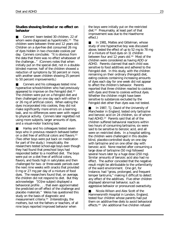#### **Studies showing limited or no effect on behavior**

■ Conners' team tested 30 children, 22 of whom were diagnosed as hyperkinetic.<sup>101</sup> The children were between three and 12 years old. Children on a dye-free diet consumed 26 mg of dyes hidden in two chocolate cookies per day. Conners concludes: "It is obvious from the data that there was no effect whatsoever of the challenge..." (Conners notes that when initially put on the special diet, not in a doubleblinded manner, half of the children showed a reduction of symptoms by 50 percent or more, with another seven children showing 25 percent to 50 percent improvements.)

Conners and his colleagues tested nine hyperactive schoolchildren who had previously appeared to improve on the Feingold diet.<sup>102</sup> The children were put on a Feingold diet and then challenged on one day each with either 0 or 26 mg of artificial colors. When eating the dyes incorporated into cookies, they did not make significantly more errors on a learning task, and no differences were seen with regard to physical activity. Conners later regretted not using more subjects, larger amounts of dyes, and a visual-motor tracking task.

■ Harley and his colleagues tested seven boys who in previous research behaved better on a diet free of artificial colors and flavors.<sup>103</sup> (Two other boys were put back on medication for part of the study.) Inexplicably, the researchers tested school-age boys even though they had found that preschool boys had responded better to a modified diet. The boys were put on a diet free of artificial colors, flavors, and foods high in salicylates and then challenged for two- or three-week periods over the next nine weeks with snacks that provided 0 mg or 27 mg per day of a mixture of food dyes. The researchers found that, on average, the children did not respond to diet. But they acknowledge: "[O]ne subject displayed a behavioral profile . . . that even approximated the predicted on-off effect of the challenge and placebo materials." Weiss has questioned this study on the basis of diagnostic and measurement criteria.104 (Interestingly, the mothers, but not the fathers or teachers, of all nine boys reported improved behavior when

the boys were initially put on the restricted diet.105 Presumably, at least part of that improvement was due to the Hawthorne effect.)

In 1981, Mattes and Gittelman, whose study of one hyperactive boy was discussed above, tested the effect of up to 52 mg to 78 mg of a mixture of food dyes on 11 children between four and 12 years old.106 Most of the children were considered as having ADD or ADHD. Parents claimed that each child was sensitive to food additives and adhered to the Feingold diet. In this study, with the children remaining on their ordinary (Feingold) diet, eating cookies containing increasing amounts of dyes each day for one week did not appear to affect the children's behavior. Parents reported that three children reacted to cookies with dyes and three to cookies without dyes. Whether the children might have been sensitive to substances excluded by the Feingold diet other than dyes was not tested.

In 1987, T.J. David of the University of Manchester in England, tested only tartrazine and benzoic acid on 24 children, six of whom had ADHD.<sup>107</sup> Parents said that all of the children suffered behavioral reactions within two hours of consuming tartrazine, six were said to be sensitive to benzoic acid, and all were on restricted diets. In a hospital setting, the children were challenged in this doubleblind, placebo-controlled study on one day with tartrazine and on one other day with benzoic acid. None reacted after consuming a large dose of tartrazine (50 mg) followed several hours later by a huge dose (250 mg). Similar amounts of benzoic acid also had no effect. The author conceded that the negative result might be attributable to the unfamiliarity of the ward environment. One girl, for instance, had "gross, prolonged, and frequent temper tantrums," making it difficult to detect any effect of the additives. Five other children displayed abnormal behavior, such as aggressive behavior or pronounced overactivity.

Nicola Wilson and Alex Scott of the Hammersmith Hospital in London, England, tested four children whose parents had put them on additive-free diets to avoid behavioral effects.108 (An additional five children refused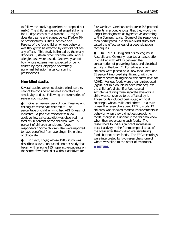to follow the study's guidelines or dropped out early.) The children were challenged at home for 12 days each with a placebo, 17 mg of dyes (tartrazine and sunset yellow [Yellow 6]), or preservatives (sulfites, benzoic acid). Parents of the four children whose behavior was thought to be affected by diet did not see any effects. This study is limited by the many dropouts. (Fifteen other children with various allergies also were tested. One two-year-old boy, whose eczema was suspected of being caused by dyes, displayed "extremely abnormal behavior" after consuming preservatives.)

#### **Non-blind studies**

Several studies were not double-blind, so they cannot be considered reliable indicators of sensitivity to diet. Following are summaries of several such studies.

Over a five-year period, Joan Breakey and colleagues tested 516 children.109 The percentage of children who had ADHD was not indicated. A positive response to a lowadditive, low-salicylate diet was observed in a total of 80 percent of the children, with 55 percent of children considered "good responders." Some children also were reported to have benefited from avoiding milk, grains, or chocolate.

In 1992, Egger, whose 1985 study was described above, conducted another study that began with placing 185 hyperactive patients on the same "few food" diet without additives for

four weeks.110 One hundred sixteen (63 percent) patients improved enough that they would no longer be diagnosed as hyperactive, according to the Conners' scale. (Some of the responders then participated in a double-blind study that tested the effectiveness of a desensitization technique.)

In 1997, T. Uhlig and his colleagues in Australia and Germany reported an association in children with ADHD between the consumption of provoking foods and electrical activity in the brain.<sup>111</sup> Forty-five schoolchildren were placed on a "few-food" diet, and 71 percent improved significantly, with their Conners scores falling below the cutoff level for ADHD. Various foods were then reintroduced (again, not in a double-blinded manner) into the children's diets. If a food caused symptoms during three separate attempts, a child was considered to be affected by it. Those foods included beet sugar, artificial colorings, wheat, milk, and others. In a third phase, the researchers used EEG to study 12 children who showed marked improvements in behavior when they did not eat provoking foods, though it is unclear if the children knew when they were eating such foods. The researchers found a significant increase in beta-1 activity in the frontotemporal areas of the brain after the children ate sensitizing foods but not other foods. The EEG recordings were interpreted by two researchers, one of whom was blind to the order of treatment.

● **[RETURN](#page-3-0)**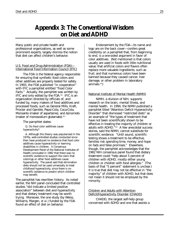# <span id="page-31-0"></span>**Appendix 3: The Conventional Wisdom on Diet and ADHD**

Many public and private health and professional organizations, as well as some prominent experts, largely dismiss the notion that diet can affect children's behavior.

#### U.S. Food and Drug Administration (FDA)— International Food Information Council (IFIC)

The FDA is the federal agency responsible for ensuring that synthetic food colors and other additives are properly tested for safety. In 1993, the FDA published "in cooperation" with IFIC a pamphlet entitled "Food Color Facts." Actually, the pamphlet was written by IFIC and only edited by the FDA.112 IFIC is an organization directed by officials of, and funded by, many makers of food additives and processed foods, such as General Mills, Kraft, Procter and Gamble, Pepsi-Cola, Coca-Cola, Monsanto (maker of aspartame), and Ajinomoto (maker of monosodium glutamate). $113$ 

The pamphlet states:

Q. Do food color additives cause hyperactivity?

A. Although this theory was popularized in the 1970s, well-controlled studies conducted since then have produced no evidence that food color additives cause hyperactivity or learning disabilities in children. A Consensus Development Panel of the National Institutes of Health concluded in 1982 that there was no scientific evidence to support the claim that colorings or other food additives cause hyperactivity. The panel said that elimination diets should not be used universally to treat childhood hyperactivity, since there is no scientific evidence to predict which children may benefit.

The pamphlet has rewritten history. As noted earlier, the NIH panel concluded that controlled studies "did indicate a limited positive association" between diet and hyperactivity and that dietary treatment may be worth trying. Moreover, the one study (by Weiss, Williams, Margen, *et al*.) funded by the FDA found an effect of diet on behavior.

Endorsement by the FDA—its name and logo are on the back cover—confers great credibility on a pamphlet that, from beginning to end, is a one-sided argument in favor of color additives. (Not mentioned is that colors usually are used in foods with little nutritional value; that artificial colors and flavors often replace more valuable ingredients, such as fruit; and that numerous colors have been banned because they caused cancer, liver damage, or other problem in laboratory animals. $114$ )

#### National Institute of Mental Health (NIMH)

NIMH, a division of NIH, supports research on the brain, mental illness, and mental health. In 1994, the NIMH published a pamphlet titled "Attention Deficit Hyperactivity Disorder" that dismissed "restricted diets" as an example of "the types of treatment that have not been scientifically shown to be effective in treating the majority of children or adults with ADHD."115 A few anecdotal success stories, said the NIMH, cannot substitute for scientific evidence. "Until sound, scientific testing shows a treatment to be effective, families risk spending time, money, and hope on fads and false promises." Elsewhere, though, the pamphlet acknowledges that the 1982 NIH consensus panel found that dietary treatment could "help about 5 percent of children with ADHD, mostly either young children or children with food allergies." (The basis of that "5 percent" statement is unclear.) It is true that diet may not be effective in "the majority" of children with ADHD, but that does not mean it should not be employed by the minority.

#### Children and Adults with Attention Deficit/Hyperactivity Disorder (CHADD)

CHADD, the largest self-help group concerned with ADHD and one that assists a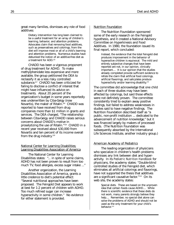great many families, dismisses any role of food additives:

> Dietary intervention has long been claimed to be a useful treatment for an array of children's learning, behavior, and attention problems. Advocates claim that removing food additives, such as preservatives and colorings, from the diet will improve most or all of a child's learning and attention problems. Numerous studies have debunked the notion of an additive-free diet as a treatment for ADD.<sup>116</sup>

CHADD has been a vigorous proponent of drug treatment for ADHD. To make methylphenidate less expensive and more available, the group petitioned the DEA to reclassify it as a less risky controlled substance.<sup>117</sup> CHADD has been criticized for failing to disclose a conflict of interest that might have influenced its advice on treatments. About 20 percent of the organization's budget in some years reportedly was underwritten by Ciba-Geigy (now Novartis), the maker of Ritalin.<sup>118</sup> CHADD was reported to have received from drug companies more than \$1 million in grants and services. The DEA charged, "The relationship between Ciba-Geigy and CHADD raises serious concerns about CHADD's motive in proselytizing the use of Ritalin."119 CHADD in a recent year received about \$30,000 from Novartis and ten percent of its income overall from the drug industry.<sup>120</sup>

#### National Center for Learning Disabilities; Learning Disabilities Association of America

The National Center for Learning Disabilities states: "... in spite of some claims, ADHD has not been proven to result from too much TV, food allergies, excess sugar intake ..."

Another organization, the Learning Disabilities Association of America, grants a little credence to diet's potential effect: "Several nutritional approaches have been proposed. The Feingold Diet appears to work at best for 1-2 percent of children with ADHD. Too much refined sugar can increase hyperactivity in some children." No evidence for either statement is provided.

#### Nutrition Foundation

The Nutrition Foundation sponsored some of the early research on the Feingold hypothesis, and it created a National Advisory Committee on Hyperkinesis and Food Additives. In 1980, the foundation issued its final report, which concluded:

> Instead, the evidence that the total Feingold diet produces improvement in the behavior of hyperactive children is equivocal. The mild and entirely subjective changes that have been reported are not, in our opinion, clinically important.... It is our opinion that the studies already completed provide sufficient evidence to refute the claim that artificial food colorings, artificial flavorings, and salicylates produce hyperactivity and/or learning disability.<sup>121</sup>

The committee did acknowledge that one child in each of three studies may have been affected by colorings, but said those effects were not definitely proven. The committee consistently tried to explain away positive findings, but failed to address weaknesses in studies said to have negative findings. The Nutrition Foundation described itself as "a public, non-profit institution ... dedicated to the advancement of nutrition knowledge," but it was financed largely by makers of processed foods. (The Nutrition Foundation was subsequently absorbed by the International Life Sciences Institute, another industry group.)

#### American Academy of Pediatrics

The leading organization of physicians who specialize in children's health problems dismisses any link between diet and hyperactivity. In its *Pediatric Nutrition Handbook* for physicians, the academy states: "Double-blind controlled studies of the Feingold diet, which eliminates all artificial colorings and flavorings, have not supported the thesis that additives are a significant causative factor."122 On its web site, the academy states:

> Special diets. These are based on the unproven idea that certain foods cause ADHD.... While there is scientific evidence that these diets do not work, many parents strongly believe they help.... Remember, no special diet alone can solve the problems of ADHD and should not be used as the only treatment for your child's behavior.<sup>123</sup>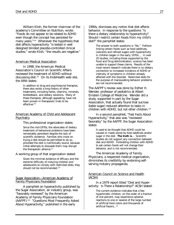William Klish, the former chairman of the academy's Committee on Nutrition, wrote: "Foods do not appear to be related to ADHD even though the concept has persisted for many years."<sup>124</sup> Whenever the hypothesis that diet affects hyperactivity "is tested in well designed blinded placebo-controlled clinical studies," wrote Klish, "the results are negative."

#### American Medical Association

In 1998, the American Medical Association's Council on Scientific Affairs reviewed the treatment of ADHD without discussing diet.<sup>125</sup> On its KidsHealth web site, the AMA states:

> In addition to drug and psychosocial therapies, there also exists a long history of other treatments, including herbs, vitamins, minerals, biofeedback, and dietary solutions. Many of these therapies, although appealing, have not been proven in therapeutic trials to be effective.126

#### American Academy of Child and Adolescent **Psychiatry**

This professional organization states:

Since the mid-1970s, the advocates of dietary treatment of behavioral problems have been remarkably persistent despite the lack of scientific evidence. Families who insist on trying a diet should be permitted to do so, provided the diet is nutritionally sound, because initial attempts to dissuade them may disrupt the therapeutic alliance.<sup>127</sup>

#### A working group of that organization stated:

Given the minimal evidence of efficacy and the extreme difficulty of inducing children and adolescents to comply with restricted diets, they should not be recommended.<sup>128</sup>

#### Sugar Association—American Academy of Family Physicians Foundation

A pamphlet on hyperactivity published by the Sugar Association, an industry group, was "favorably reviewed" by the American Academy of Family Physicians Foundation (AAFPF).129 "Questions Most Frequently Asked About Hyperactivity," published in the early

1990s, dismisses any notion that diet affects behavior. In response to the questions "Is there a dietary relationship to hyperactivity? Should I restrict certain foods from my child's diet?" the pamphlet states:

> The answer to both questions is "No." Folklore linking certain foods such as food additives, colorants and refined sugars with hyperactivity in children began in the early 1970s.... In over 20 studies, including those supported by the Food and Drug Administration, science has been unable to support these claims. Results of the most recent research indicate there is no dietary connection to increased incidence of ADHD or intensity of symptoms in children already affected with the disorder. Restricted diets for the purpose of manipulating behavior problems are not recommended.

The AAFPF's review was done by Esther H. Wender, professor of pediatrics at Albert Einstein College of Medicine. Wender did a study, supported in part by the Sugar Association, that actually found that sucrose (table sugar) reduced attention to tasks in children with ADHD, but not other children.130

In a second pamphlet, "Fast Facts About Hyperactivity," that also was "reviewed favorably" by the AAFPF, the Sugar Association states:

> It used to be thought that ADHD could be caused or made worse by food additives and/or sugar in the diet. **The truth is**... Scientific studies do not support any connection between diet and ADHD. Forbidding children with ADHD to eat certain foods will not change their behavior, and is not recommended.

The American Academy of Family Physicians, a respected medical organization, diminishes its credibility by endorsing selfserving industry propaganda.

#### American Council on Science and Health (ACSH)

In a 1979 report titled "Diet and Hyperactivity: Is There a Relationship?" ACSH stated:

> The current evidence indicates that a few hyperkinetic children, on the order of a fraction of one percent, may experience adverse reactions to one or several of the large number of artificial food colors and thousands of artificial flavors...<sup>131</sup>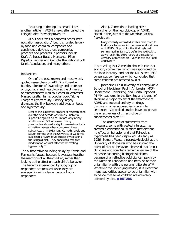Returning to the topic a decade later, another article in ACSH's newsletter called the Feingold diet "now-disproven."132

ACSH calls itself a nonprofit "consumer education association," but it is funded largely by food and chemical companies and consistently defends those companies' practices and products. Sponsors include Kraft, Anheuser-Busch, Monsanto, Pfizer, PepsiCo, Procter and Gamble, the National Soft Drink Association, and many others.

#### Researchers

One of the best known and most widely quoted researchers on ADHD is Russell A. Barkley, director of psychology and professor of psychiatry and neurology at the University of Massachusetts Medical Center in Worcester, Massachusetts. In his popular book *Taking Charge of Hyperactivity*, Barkley largely dismisses the link between additives or foods and hyperactivity:

> Most of the substantial amount of research done over the next decade was simply unable to support Feingold's claim. In fact, only a very small number (5% or less) of mainly preschoolers showed a slight increase in activity or inattentiveness when consuming these substances.... In 1983, Drs. Kenneth Kavale and Steven Forness with the University of California published a review of 23 studies investigating the Feingold diet. They concluded that diet modification was not effective for treating hyperactivity.<sup>133</sup>

The authoritative-sounding study by Kavale and Forness is flawed, because it averages together the reactions of all the children, rather than looking at the effect on each child's behavior. The benefits experienced by subgroup of responders are masked when they are averaged in with a larger group of nonresponders.

Alan J. Zametkin, a leading NIMH researcher on the neurobiology of ADHD, stated in the *Journal of the American Medical Association*:

> Many carefully controlled studies have failed to find any substantive link between food additives and ADHD. Support for this finding is well summarized in Barkley's definitive textbook ... as well as in the 1980 report of the National Advisory Committee on Hyperkinesis and Food Additives.<sup>134</sup>

It is puzzling that Zametkin chose to cite that advisory committee, which was sponsored by the food industry, and not the NIH's own 1982 consensus conference, which concluded that some children are affected by diet.

Josephine Elia (University of Pennsylvania School of Medicine), Paul J. Ambrosini (MCP-Hahnemann University), and Judith Rapoport (NIMH) authored in the *New England Journal of Medicine* a major review of the treatment of ADHD and focused entirely on drugs, dismissing other approaches in a single sentence: "Controlled studies have not proved the effectiveness of ... restrictive or supplemental diets."<sup>135</sup>

The drumbeat of statements from naysayers, some with vested interests, has created a conventional wisdom that diet has no effect on behavior and that Feingold's hypothesis has been disproved. As early as 1986, Bernard Weiss, a neurotoxicologist at the University of Rochester who has studied the effect of diet on behavior, observed that "most clinicians and scientists remain unaware of the evidence supporting [Feingold's] claims, because of an effective publicity campaign by the Nutrition Foundation and because of their unfamiliarity with the pertinent literature."136 Whatever the underlying reason, it is clear that many authorities appear to be unfamiliar with evidence that some children are adversely affected by diet. ● **[RETURN](#page-3-0)**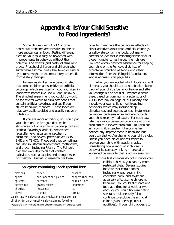# **Appendix 4: Is Your Child Sensitive to Food Ingredients?**

<span id="page-35-0"></span>Some children with ADHD or other behavioral problems are sensitive to one or more substances in food. Testing different diets on your child may be rewarded with improvements in behavior, without the potential side effects (and costs) of stimulant drugs. Preschool children and children who suffer from asthma, hives, hay fever, or similar symptoms might be the most likely to benefit from dietary changes.

Numerous studies have demonstrated that some children are sensitive to artificial colorings, which are listed on food and vitamin labels with names like Red 40 and Yellow 5. The simplest experiment you could try would be for several weeks to eliminate foods that contain artificial colorings and see if your child's behavior improves. Those foods are relatively easily avoided and usually not very nutritious.

If you are more ambitious, you could put your child on the Feingold diet, which eliminates not only artificial colorings, but also artificial flavorings, artificial sweeteners (acesulfame-K, aspartame, saccharin, sucralose), and several preservatives (BHA, BHT, and TBHQ). Those additives sometimes are used in vitamin supplements, toothpastes, and drugs—including Ritalin. The Feingold diet also excludes foods that contain salicylates, such as apples and oranges (see box below). Almost no research has been

#### **Salicylate-containing Foods (partial list)\***

almonds coffee peaches apples cucumbers and pickles peppers (bell, chili) apricots currants plums, prunes berries (all) grapes, raisins tangerines cherries nectarines tea cloves oranges tomato aspirin (acetyl salicylate) and medications that contain it oil of wintergreen (methyl salicylate; mint flavoring) *\*Reactions to these foods are based on unconfirmed reports, not controlled studies.*

done to investigate the behavioral effects of either additives other than artificial colorings or salicylate-containing foods, but many parents believe that eliminating some or all of those ingredients has helped their children. (You can obtain practical assistance for keeping your child on the Feingold diet, lists of acceptable brand-name foods, and other information from the Feingold Association, whose address is on page 14.)

After you've decided which foods you will eliminate, you should start a notebook to keep track of your child's behavior before and after you change his or her diet. Prepare a score sheet based on common characteristics of ADHD (see box on page 2), but modify it to include your own child's most troubling behaviors, which may include sleep disturbances and aggressiveness. Note when behavioral problems arise and which foods your child recently had eaten. For each day, rate the various behaviors on a scale of 0 (no problem) to 3 (severe problem). You also can ask your child's teacher if he or she has noticed any improvement in behavior, but don't say that you're changing your child's diet unless you need his or her assistance to provide your child with special snacks. Considering how erratic most children's behavior is, correctly linking improved or worsened behavior to diet is not an easy task.

If those first changes do not improve your

child's behavior, you can try more restricted diets. Several studies indicate that certain foods including wheat, eggs, milk, chocolate, corn, and soybeans adversely affect some children's behavior. You could eliminate one food at a time for a week or two each, or you could try eliminating several simultaneously (also continue to exclude the artificial colorings and perhaps other additives). If your child appears to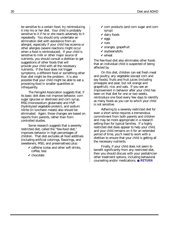be sensitive to a certain food, try reintroducing it into his or her diet. Your child is probably sensitive to it if he or she reacts adversely to it repeatedly. You should only undertake an elimination diet with assistance from an allergist, especially if your child has eczema or other allergies (severe reactions might occur when a food is reintroduced). If your child is sensitive to milk or other major source of nutrients, you should consult a dietitian to get suggestions of other foods that will provide your child with all the necessary nutrients. If the food does not trigger symptoms, a different food or something other than diet might be the problem. It is also possible that your child might be able to eat a provoking food in smaller quantities or infrequently.

The Feingold Association suggests that, if its basic diet does not improve behavior, corn sugar (glucose or dextrose) and corn syrup, MSG (monosodium glutamate) and HVP (hydrolyzed vegetable protein), and sodium nitrite (in luncheon meats) also should be eliminated. Again, those changes are based on reports from parents, rather than from controlled studies.

Some research suggests that a severely restricted diet, called the "few-food diet," improves behavior in high percentages of children. That diet excludes all food additives (including artificial colorings, flavorings, and sweeteners, MSG, and preservatives) plus:

- $\triangleright$  caffeine (colas and other soft drinks, coffee, tea)
- $\mathbf{\check{c}}$  chocolate
- $\checkmark$  corn products (and corn sugar and corn syrup)
- $\boldsymbol{\checkmark}$  dairy foods
- $\vee$  eggs
- $\vee$  nuts
- $\checkmark$  oranges, grapefruit
- $\checkmark$  soybeans/tofu
- $\boldsymbol{\nu}$  wheat

The few-food diet also eliminates other foods that an individual child is suspected of being affected by.

On this diet, children can eat fresh meat and poultry, any vegetable (except corn and soy foods), fruits and fruit juices (including pineapple and pear, but not orange and grapefruit), rice, and oats. If you see an improvement in behavior after your child has been on that diet for one or two weeks, reintroduce one food every few days to identify as many foods as you can to which your child is not sensitive.

Adhering to a severely restricted diet for even a short while requires a tremendous commitment from both parents and children and may be more appropriate in a research setting than for typical families. If a highly restricted diet does appear to help your child, and your child remains on it for an extended period of time, you'll need to work with a dietitian to ensure that your child is getting all the necessary nutrients.

Finally, if your child does not seem to benefit significantly from any restricted diet, then you should discuss with your pediatrician other treatment options, including behavioral counseling and/or medications. ● **[RETURN](#page-3-0)**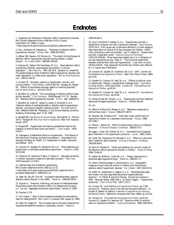# **Endnotes**

<span id="page-37-0"></span>1. Diagnosis and Treatment of Attention Deficit Hyperactivity Disorder. NIH Consens Statement Online 1998 Nov 16-18; In press. [cited March 10, 1999]; In press.

< http://odp.od.nih.gov/consensus/cons/110/110\_statement.htm>

2. Elia J, Ambrosini PJ, Rapoport JL. "Treatment of attention-deficithyperactivity disorder." *N Engl J Med.* 1999;340:780-8.

3. LeFever GB, Dawson, KV, Morrow AL. "The extent of drug therapy for attention deficit–hyperactivity disorder among children in public schools." *Am J Public Health.* 1999;89:1359-64

4. Downey KK, Stelson FW, Pomerleau OF, *et al*. "Adult attention deficit hyperactivity disorder: psychological test profiles in a clinical population." *J Nerv Ment Dis.* 1997;185:32-8. Eyestone LL, Howell RJ. "An epidemiological study of attention-deficit hyperactivity disorder and major depression in a male prison population." *Bull Am Acad Psychiatry Law.* 1994;22:181-93.

5. Conners CK. "Symptom patterns in hyperkinetic, neurotic, and normal children." *Child Develop.* 1970;41:667-82. Sprague RL, Sleator EK. "Effects of psychopharmacologic agents on learning disorders." *Ped Clin North America*. 1973;20:719-35.

6. Zametkin AJ, Liotta W. "The neurobiology of attention-deficit/ hyperactivity disorder." *J Clin Psychiatry.* 1998;59(suppl 7):17-23. Barkley RA. "Attention-deficit hyperactivity disorder." *Sci Am.* Sept. 1998;66-71.

7. Zametkin AJ, Liotta W. Vaidya CJ, Austin G, Kirkorian G, *et al*. "Selective effects of methylphenidate in attention deficit hyperactivity disorder: a functional magnetic resonance study." *Proc Natl Acad Sci* USA. 1998;95:14494-99. Mostofsky S. 51st Annual Meeting, American Academy of Neurology, April 17-24, 1999.

8. Feingold BG. *Introduction to Clinical Allergy*. (Springfield, Ill.: Thomas, 1973). Feingold BF. *Why Your Child is Hyperactive*. (New York: Random House, 1975)

9. Feingold BF. "Hyperkinesis and learning disabilities linked to the ingestion of artificial food colors and flavors." *J Learn Disabil*. 1976; 9:19-27.

10. Interagency Collaborative Group on Hyperkinesis. "First Report of the Preliminary Findings and Recommendations." Submitted to the Assistant Secretary for Health, U.S. Department of Health, Education and Welfare. 1975.

11. Conners CK, Goyette CH, Southwick DA, *et al*. "Food additives and hyperkinesis: a controlled double-blind experiment." *Pediatrics.* 1976; 58:154-66.

12. Fitzsimon M, Holborow P, Berry P, Latham S. "Salicylate sensitivity in children reported to respond to salicylate exclusion." *Med J Aust.* 1978 December 2;2:570-2.

13. Defined Diets and Childhood Hyperactivity.

NIH Consens Statement Online 1982 Jan 13-15

< http://odp.od.nih.gov/consensus/cons/032/032\_statement.htm> [accessed September 6, 1999];4(3):1-11.

14. Safer DF, Zito JM, Fine EM. "Increased methylphenidate usage for attention deficit disorder in the 1990s." *Pediatrics.* 1996;98:1084-8.

15. Feusner G. "Diversion, trafficking, and abuse of methylphenidate." Drug Enforcement Administration (DEA), U.S. Department of Justice, p.7. *See also*: "Aggregate production quota history," January 8, 1998.

16. Feusner G. P.8.

17. *Ibid.* Figure 2. Most of that increased amphetamine prescriptions were for treating ADHD. Pers. Comm. G. Feusner, DEA, August 11, 1999.

18. Safer DJ, Krager JM. "The increased rate of stimulant treatment for hyperactive/inattentive students in secondary schools." *Pediatrics.*

#### 1994;94:462-4.

19. Levy F, Dumbrell S, Hobbes G, *et al*. "Hyperkinesis and diet: a double-blind crossover trial with a tartrazine challenge." *Med J Australia*. 1978;1:61-4. Five mg per day of tartrazine affected a 13-child subgroup (diet responders) of a group of 22 (two dropped out) children. Withinchild comparisons were not provided. Levy F, Hobbes G. "Hyperkinesis and diet: a replication study." *American Journal of Psychiatr*y. 1978;135:1559-60. Those researchers tested only 4 or 5 milligrams of one day (tartrazine) per day. Rose TL. "The functional relationship between artificial food colors and hyperactivity." *J Appl Behav Analysis*. 1978;11:439-46. That researcher found that two children were affected by 1.2 mg per day of tartrazine.

20. Conners CK, Goyette CH, Southwick DA, *et al*l. 1976. Conners CK. *Food Additives and Hyperactive Children*. (New York: Plenum Press, 1980), pp.21-40.

21. Goyette CH, Conners CK, Petti TA, *et al*. "Effects of artificial colors on hyperkinetic children: a double-blind challenge study." *Psychopharmacology Bulletin*. 1978;14(2):39-40. Conners CK. *Food Additives and Hyperactive Children*, pp.45-54.

22. Goyette CH, Conners CK, Petti TA, *et al*. Conners CK. *Food Additives and Hyperactive Children*, pp.55-68.

23. Harley JP, Ray RS, Tomasi L, *et al*. "Hyperkinesis and food additives: testing the Feingold hypothesis." *Pediatrics*. 1978;61:818-28.

24. *Ibid.*

25. Weiss B, Williams JH, Margen S, *et al*. "Behavioral responses to artificial food colors." *Science*. 1980;207:1487-8.

26. Swanson JM, Kinsbourne M. "Food dyes impair performance of hyperactive children on a laboratory learning test." *Science.* 1980;  $207.1485-7$ 

27. Pollock I, Warner JO. "Effect of artificial food colours on childhood behaviour." *Archives of Disease in Childhood.* 1990;65:74-7.

28. Egger J, Carter CM, Graham PJ, *et al*. "Controlled trial of oligoantigenic treatment in the hyperkinetic syndrome." *Lancet*. 1985;1:540-5.

29. Carter CM, Urbanowicz M, Hemsley R, *et al.* "Effects of a few food diet in attention deficit disorder." *Archives of Disease in Childhood*. 1993;69:564-8.

30. Boris M, Mandel FS. "Foods and additives are common causes of the attention deficit hyperactive disorder in children." *Annals of Allergy*. 1994;72:462-8.

31. Kaplan BJ, McNicol J, Conte RA, *et al*. "Dietary replacement in preschool-aged hyperactive boys." *Pediatrics.* 1989;83:7-17.

32. Uhlig T, Merkenschlager A, Brandmaier R, *et al*. "Topographic mapping of brain electrical activity in children with food-induced attention deficit hyperkinetic disorder." *Eur J Pediatr*. 1997;156:557-61.

33. Kiefer Ch, Voderholzer U, Degner H, *et al*. "Schlafveränderungen bei Kindern mit nahrungsmittelinduziertem hyperkinetischen Syndrom." In: Köhler B, Keimer R (Hersg). *Aktuelle Neuropädeatrie* 1991. (Springer Verlag, 1992),361-5. As cited in Egger J. "Hyperkinetic Syndrome." *J Nutr Environ Med*. 1997;7:353-7.

34. Conners CK. *Food Additives and Hyperactive Children*, pp.77-85. Conners CK. "Artificial colors in the diet and disruptive behavior." In: Knights R, Bakker DJ (editors): *Treatment of Hyperactive and Learning Disordered Children*. (Baltimore: University Park Press, 1980), pp 113-120.

35. Conners CK. *Food Additives and Hyperactive Children*, pp.87-93. Conners CK, Goyette CH, Newman EB. "Dose-time effect of artificial colors on hyperactive children." *J Learning Disabilities*. 1980;13(9):48-52.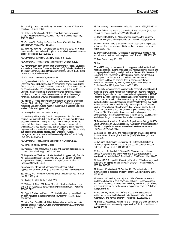36. David TJ. "Reactions to dietary tartrazine." *Archives of Disease in Childhood*. 1987;62:119-22.

37. Mattes JA, Gittelman R. "Effects of artificial food colorings in children with hyperactive symptoms." *Archives of General Psychiatry*. 1981;38:714-8.

38. Conners CK. *Feeding the Brain: How Foods Affect Children*. (New York: Plenum Press, 1990), pp.184-5.

39. Rowe KS, Rowe KJ. "Synthetic food coloring and behavior: A dose response effect in a double-blind, placebo-controlled, repeated-measures study." *J Pediatrics.* 1994;125:691-8.

40. Conners CK, Goyette CH, Southwick DA, *et al*. 1976.

41. Conners CK. *Food Additives and Hyperactive Children*, p.105.

42. Memorandum from a nutritionist, Department of Health, Education, and Welfare, Division of Consumer Studies, to T. J. Sobotka, Biochemical Toxicology Branch, Food and Drug Administration, July 30, 1976. Cited in Swanson JM, Kinsbourne M.

43. Conners CK, Goyette CH, Newman EB.

44. Figures reflect U.S. Food and Drug Administration, Center for Food Safety and Applied Nutrition, data on certification of dyes intended for foods, drugs, and cosmetics. An unknown fraction of that dye is used in drugs and cosmetics and undoubtedly some is lost due to waste. Children, major consumers of artificially colored beverages, cereals, candies, and other products, may consume more than the average American, but we are unaware of accurate data on this point.

45. Rippere V. "Food additives and hyperactive children: a critique of Conners." *Brit J Clin Psychology*. 1983;22:19-32. While that paper focuses on Conners' studies, much of the critique is applicable to other studies of diet and hyperactivity.

46. Analogy has been used by Doris Rapp.

47. Breakey J, Hill M, Reilly C, *et al.* "A report on a trial of the low additive, low salicylate diet in the treatment of behaviour and learning problems in children." *Aust J Nutr Diet*. 1991;48:89-94. Almost 80 percent of the children responded to diet; the percentage of children who had ADHD was not indicated. Earlier, the same author reported improvement in a substantial percentage of subjects in a different study, but detailed analyses are not provided. Breakey J. "Dietary management of hyperkinesis and behavioural problems." *Aust Family Physician*. 1978;7:720-4.

48. Conners CK. *Food Additives and Hyperactive Children*, p.51.

49. Harley JP, Ray RS, Tomasi L, *et al*.

50. Weiss B. "Food additives as a source of behavioral disturbances in children." *NeuroToxicology*. 1986;7:197-208.

51. Diagnosis and Treatment of Attention Deficit Hyperactivity Disorder. NIH Consens Statement Online 1998 Nov 16-18; In press. In press.  $\langle h(t) \rangle$  = http://odp.od.nih.gov/consensus/cons/110/110\_statement.htm> [accessed March 10, 1999].

52. Arnold LE. "Treatment alternatives for attention-deficit hyperactivity disorder (ADHD)." *J Attention Disorders*. 1999;3(1):30-48.

53. Barkley RA. "Hyperactivity hype" (letter). *Washington Post - Health,* Jan. 12, 1999, p. 4.

54. Breakey J, Hill M, Reilly C, *et al*. 1991.

55. Williams JI, Cram DM, Tausig FT, *et al*. "Relative effects of drugs and diet on hyperactive behaviors: an experimental study." *Pediatrics.* 1978;61:811-7.

56. Egger J, Stolla A, McEwen L. "Controlled trial of hyposensitisation in children with food-induced hyperkinetic syndrome." *Lancet.* 1992; 339:1150-3.

57. Letter from David Pizzuti, Abbott Laboratories, to health-care professionals, undated. < http://www.fda.gov/medwatch/safety/1999/cylert.htm> [accessed July 2, 1999].

58. Zametkin AJ. "Attention-deficit disorder." *JAMA*. 1995;273:1871-4.

59. Bromfield R. "Is Ritalin overprescribed? Yes" *Priorities* (American Council on Science and Health) 1996;8(3):24,26,28.

60. Dunnick JK, Hailey JR. "Experimental studies on the long-term effects of methylphenidate hydrochloride." *Toxicol*. 1995;103:77-84.

61. The 2.5 times figure is based on a mg/m2 basis and 1 mg/kg dose in humans; the dose was about 60 times the maximum dose on a mg/kg basis. *Ibid*.

62. Dunnick JK, Eustis SL. "Decreases in spontaneous tumors in rats and mice after treatment with amphetamine." *Toxicol*. 1991;67:325-32.

63. Pers. Comm. May 27, 1999.

64. *Ibid*.

65. An NTP study on transgenic (tumor-suppressor deficient) mice did not find a problem, but the strain used was resistant to liver tumors and not appropriate for testing methylphenidate. Tennant RW, Stasiewicz S, Mennear J, *et al*. "Genetically altered mouse models for identifying carcinogens." In *The Use of Short- and Medium-term Tests for Carcinogens and Data on Genetic Effects in Carcinogenic Hazard Evaluation*. McGregor DB, Rice JM, Venitt S, eds. IARC Scientific Publications No. 146 (Lyons, France: IARC, 1999).

66. The only human research has involved a cohort of several hundred members of the Kaiser-Permanente Medical Care Program, Northern California Region, who had been prescribed methylphenidate in 1969-73. Fifteen to 19 years later those people had a lower incidence of total cancers than expected, but because the study had so few participants, so short a follow-up, and inadequate adjustments for factors that might influence cancer rates it sheds little light on the question of whether lengthy use by children of methylphenidate increases slightly the risk later in life of cancer of the liver or other organs. Van Den Eeden SK, Friedman GD. "Prescription drug screening for subsequent carcinogenicity." *Pharmacoepidemiology and Drug Safety.* 1995;4:275-87. Much larger, longer, better-controlled studies are needed.

67. Federation of American Societies for Experimental Biology (FASEB) Select Committee on GRAS Substances. "Evaluation of health aspects of GRAS food ingredients: lessons learned and questions unanswered." Fed Proc. 1977;36:2519-62.

68. Center for Food Safety and Applied Nutrition, U.S. Food and Drug Administration. "Toxicological Principles (Draft)" (Redbook), October 1993, p.151

69. Wolraich ML, Lindgren SD, Stumbo PJ. "Effects of diets high in sucrose or aspartame on the behavior and cognitive performance of children." *N Engl J Med.* 1994;330:301-7.

70. Ferguson HB, Stoddart C, Simeon JG. "Double-blind challenge studies of behavioral and cognitive effects of sucrose-aspartame ingestion in normal children." *Nutrition Rev*. 1986(Suppl., May);144-50.

71. Kruesi MJP, Rapoport JL, Cummings EM, *et al*. "Effects of sugar and aspartame on aggression and activity in children." *Am J Psychiatry*. 1987;144:1487-90.

72. Kaplan HK, Wamboldt FS, Barnhart M. "Behavioral effects of dietary sucrose in disturbed children" (letter). Am J Psychiatry. 1986; 143:944-5.

73. Conners CK, Wells K, Horn W, *et al*. "The effects of sucrose and fructose on behavior of child psychiatric patients." Sugar Associates, Inc., 1982. Reviewed in Wolraich M, Milich R, Stumbo P, *et al* "Effects of sucrose ingestion on the behavior of hyperactive boys." *J Pediatrics.* 1985;106:675-82.

74. Wender EH, Solanto MV. "Effects of sugar on aggressive and inattentive behavior in children with attention deficit disorder with hyperactivity and normal children." *Pediatrics*. 1991;88:960-6.

75. Behar D, Rapoport JL, Adams AJ, *et al*. "Sugar challenge testing with children considered behaviorally 'sugar reactive.'" *Nutrition and Behavior*. 1984;1:277-88.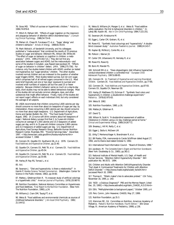76. Gross MD. "Effect of sucrose on hyperkinetic children." *Pediatrics.* 1984;74:876-8.

77. Milich R, Pelham WE. "Effects of sugar ingestion on the classroom and playgroup behavior of attention deficit disordered boys." *J Consulting Clinical Psychology*. 1986;54:714-8.

78. Mahan LK, Chase M, Furukawa CT, *et al*. "Sugar 'allergy' and children's behavior." *Annals of Allergy*. 1988;61:453-8.

79. Mark Wolraich, of Vanderbilt University, and his colleagues published a "meta-analysis" that combined the results of 23 previous studies on sugar and behavior. (Wolraich ML, Wilson DB, White JW. "The effect of sugar on behavior or cognition in children: a metaanalysis." *JAMA*. 1995;274:1617-21.) They did not find any association between sugars and ADHD, but the meta-analysis—and some of the studies it included—was flawed (see Jacobson M. "Effects of sugar on behavior in children" (letter). *JAMA*. 1996;275:756). For instance, only five studies tested children with ADHD; another six tested non-hyperactive, but "sugar-sensitive," children. The other studies involved normal children and are irrelevant to the question of whether sugar triggers ADHD. Most studies tested sucrose, but not corn sugar, which comprises half of all refined sugars consumed in the U.S. Most were brief (typically just one or two days' exposure to sucrose) and involved small numbers of subjects (all but five used 25 or fewer subjects). Because children's behavior varies so much on a day-to-day basis, short studies may not be able to detect behavioral changes. Most of the studies did not exclude common allergens, dyes, and other substances that might affect behavior. Finally, many of the studies did not report sugar's effects on each individual child, but only considered the average of all subjects.

80. USDA recommends that children consuming 1,600 calories per day should consume no more than about six teaspoons of sugar per day; by interpolation, those consuming 1,800 calories per day should consume no more than about eight teaspoons. U.S. Department of Agriculture, Home and Garden Bulletin No. 252. "The Food Guide Pyramid." August, 1992. (A 12-ounce soft drink contains about ten teaspoons of sugar.) National dietary surveys find that 2- to 5-year-old children consume an average of 1,500 calories and 15.5 teaspoons of added sugars per day, and 6- to 11-year-old children consume 1,800 calories and 21.4 teaspoons of added sugars per day. U.S. Department of Agriculture, Food Surveys Research Group, Beltsville Human Nutrition Research Center, Riverdale, MD. "Pyramid Servings Data." December, 1997. < http://www.barc.usda.gov/bhnrc/foodsurvey/home.htm> accessed October 7, 1998.

81. Conners CK, Goyette CH, Southwick DA, *et al*. 1976. Conners CK. *Food Additives and Hyperactive Children*, pp.21-40.

82. Goyette CH, Conners CK, Petti TA, *et al*. Conners CK. *Food Additives and Hyperactive Children*, pp.45-54.

83. Goyette CH, Conners CK, Petti TA, *et al*. Conners CK. *Food Additives and Hyperactive Children*, pp.55-68.

84. Harley JP, Ray RS, Tomasi L, *et al*.

85. *Ibid*.

86. Swanson J. "Diet and hyperactivity: is there a relationship?" In Harnik P, V*oodoo Science, Twisted Consumerism*. (Washington: Center for Science in the Public Interest, 1982), pp.54-60.

87. Mattes J, Gittelman-Klein R. "A crossover study of artificial colorings in a hyperkinetic child." *American Journal of Psychiatry*. 1978;135:987-8.

88. Nutrition Foundation, National Advisory Committee on Hyperkinesis and Food Additives. *Final Report to the Nutrition Foundation*. (New York: The Nutrition Foundation, 1980), p.24.

89. Williams JI, Cram DM, Tausig FT, *et al*.

90. Weiss B. "Food additives and environmental chemicals as sources of childhood behavioral disorders." *J Am Acad Child Psychiatry*. 1982; 21:144-52.

91. Weiss B, Williams JH, Margen S, *et al*. Weiss B. "Food additive safety evaluation: the link to behavioral disorders in children." In: Lahey BB, Kazdin AE. *Adv in Clin Child Psychology* 1984;7:221-251.

92. Swanson JM, Kinsbourne M.

93. Egger J, Carter CM, Graham, PJ, *et al*.

94. Rowe KS. "Synthetic food colourings and "hyperactivity": A doubleblind crossover study." *Australian Paediatrics Journal*. 1988;24:143-7.

95. Kaplan BJ, McNicol J, Conte RA, *et al*.

96. Pollock I, Warner JO.

97. Carter CM, Urbanowicz M, Hemsley R, *et al*.

98. Rowe KS, Rowe KJ.

99. Boris M, Mandel FS.

100. Schmidt MH *et al*. "Does oligoantigenic diet influence hyperactive/ conduct-disordered children–a controlled trial." *European Child Adolescent Psychiatry*. 1997;6:88-95.

101. Conners CK. In: *Treatment of Hyperactive and Learning Disordered Children*. Conners CK. *Food Additives and Hyperactive Children*, pp.77-85.

102. Conners CK. *Food Additives and Hyperactive Children*, pp.87-93. Conners CK, Goyette CH, Newman EB.

103. Harley JP, Matthews CG, Eichman P. "Synthetic food colors and hyperactivity in children: a double-blind challenge experiment." *Pediatrics*. 1978;62:975-83.

104. Weiss B. 1982.

105. Nutrition Foundation, 1980, p.16.

106. Mattes JA, Gittelman R.

107. David TJ.

108. Wilson N, Scott A. "A double-blind assessment of additive intolerance in children using a 12 day challenge period at home." *Clinical and Experimental Allergy*. 1989;19:267-72.

109. Breakey J, Hill M, Reilly C, *et al*.

110. Egger J, Stolla A, McEwen LM.

111. Uhlig T, Merkenschlager A, Brandmaier R, *et al*.

112. Bill Rados, FDA, memoranda to Carole Schiffman dated August 27, 1992, and to Elaine Auld dated October 6, 1992.

113. International Food Information Council. "Board of Directors, 1996."

114. Jacobson, M. *The Complete Eater's Digest and Nutrition Scoreboard*. (New York: Doubleday & Co., 1985), pp.361-2.

115. National Institute of Mental Health, U.S. Dept. of Health and Human Services. "Attention Deficit Hyperactivity Disorder." NIH publication No. 96-3572. 1994.

116. Children and Adults with Attention Deficit/Hyperactivity Disorder. "Fact sheet 4: Controversial Treatments for Children with Attention Deficit Disorder." < http://www.chadd.org/facts/add\_facts04.htm> [accessed March 10, 1999]

117. Thomas K. "Ritalin maker's ties to advocates probed." *USA Today*, November 16, 1995, p. 14D.

118. "ADD - a Dubious Diagnosis?" PBS and the Merrow Report. [cited Dec. 20, 1995] < http://www.add-adhd.org/ritalin\_CHADD\_A.D.D.html>

119. DEA, "Methylphenidate (a background paper)," October 1995, p.4.

120. Pers. Comm., John Heavener, CHADD, May 27, 1999.

121. Nutrition Foundation, pp.31-3.

122. Kleinman RE., Ed. Committee on Nutrition, American Academy of Pediatrics. *Pediatric Nutrition Handbook, Fourth Edition*." (Elk Grove Village, Ill.: American Academy of Pediatrics, 1998); p.136.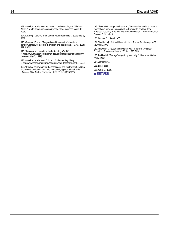123. American Academy of Pediatrics. "Understanding the Child with ADHD." < http://www.aap.org/family/adhd.htm> [accessed March 10, 1999]

124. Klish WJ. Letter to International Health Foundation. September 9, 1996.

125. Goldman LS *et al*. "Diagnosis and treatment of attentiondeficit/hyperactivity disorder in children and adolescents." *JAMA*. 1998; 279:1100-7

126. "Behavior and emotions, Understanding AD/HD."

<http://www.ama-assn.org/insight/h\_focus/nemours/behavior/adhd.htm> [accessed May 3, 1999]

127. American Academy of Child and Adolescent Psychiatry. < http://www.aacap.org/clinical/Adhdsum.htm> [accessed April 1, 1999]

128. "Practice parameters for the assessment and treatment of children, adolescents, and adults with attention-deficit/hyperactivity disorder." *J Am Acad Child Adolesc Psychiatry*. 1997;36:Suppl:85S-121S.

129. The AAFPF charges businesses \$3,000 to review, and then use the Foundation's name on, a pamphlet, videocassette, or other item. American Academy of Family Physicians Foundation. "Health Education Program." (Undated).

130. Wender EH, Solanto MV.

131. Sheridan MJ. *Diet and Hyperactivity: Is There a Relationship*. ACSH, New York, 1979.

132. Aylsworth J. "Sugar and hyperactivity." *Priorities* (American Council on Science and Health). Winter, 1990;31-3.

133. Barkley RA. "Taking Charge of Hyperactivity." (New York: Guilford Press, 1995)

134. Zametkin AJ.

135. Elia J, et al.

136. Weiss B. 1986.

● **[RETURN](#page-3-0)**